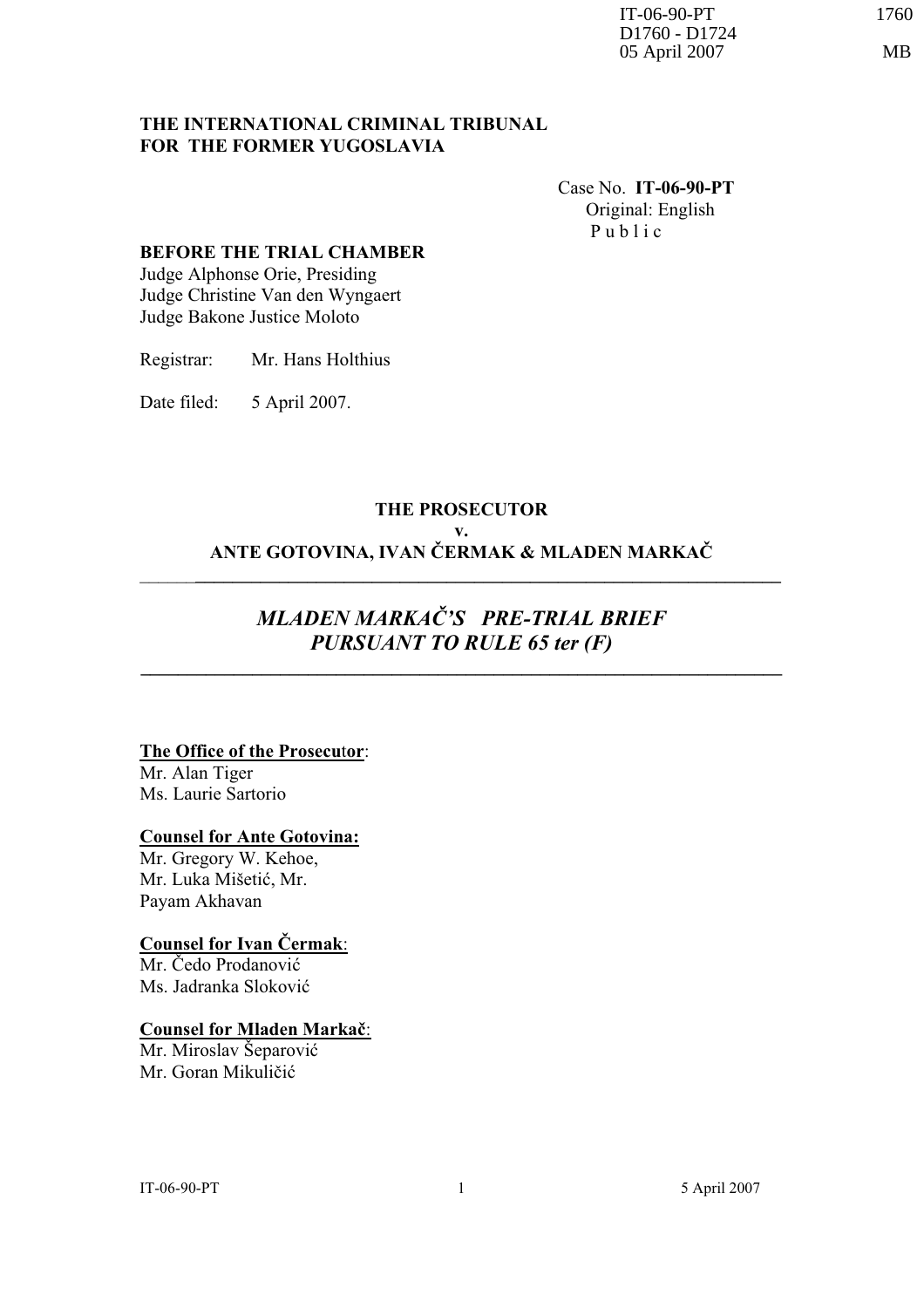## **THE INTERNATIONAL CRIMINAL TRIBUNAL FOR THE FORMER YUGOSLAVIA**

 Case No. **IT-06-90-PT**  Original: English  $P$  u b  $l$  i c

## **BEFORE THE TRIAL CHAMBER**

Judge Alphonse Orie, Presiding Judge Christine Van den Wyngaert Judge Bakone Justice Moloto

Registrar: Mr. Hans Holthius

Date filed: 5 April 2007.

## **THE PROSECUTOR**

#### **v.**

## **ANTE GOTOVINA, IVAN ýERMAK & MLADEN MARKAý** \_\_\_\_\_\_**\_\_\_\_\_\_\_\_\_\_\_\_\_\_\_\_\_\_\_\_\_\_\_\_\_\_\_\_\_\_\_\_\_\_\_\_\_\_\_\_\_\_\_\_\_\_\_\_\_\_\_\_\_\_\_\_\_\_\_\_\_\_\_**

# *MLADEN MARKAý'S PRE-TRIAL BRIEF PURSUANT TO RULE 65 ter (F)*

**\_\_\_\_\_\_\_\_\_\_\_\_\_\_\_\_\_\_\_\_\_\_\_\_\_\_\_\_\_\_\_\_\_\_\_\_\_\_\_\_\_\_\_\_\_\_\_\_\_\_\_\_\_\_\_\_\_\_\_\_\_\_\_\_\_\_\_\_\_**

### **The Office of the Prosecutor:**

Mr. Alan Tiger Ms. Laurie Sartorio

#### **Counsel for Ante Gotovina:**

Mr. Gregory W. Kehoe, Mr. Luka Mišetić, Mr. Payam Akhavan

## **Counsel for Ivan ýermak**:

Mr. Čedo Prodanović Ms. Jadranka Sloković

## **Counsel for Mladen Markaþ**:

Mr. Miroslav Šeparović Mr. Goran Mikuličić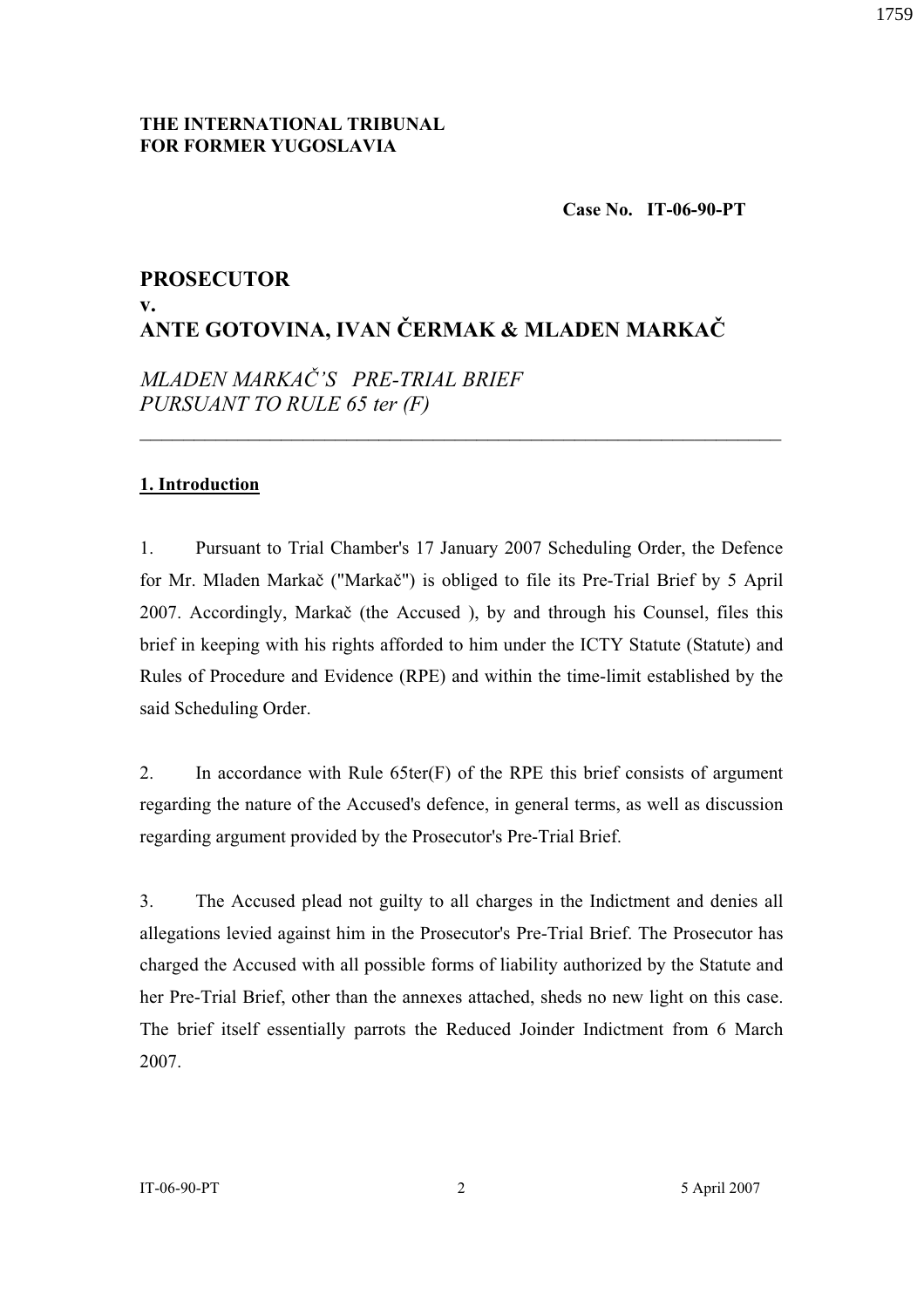**Case No. IT-06-90-PT**

# **PROSECUTOR v. ANTE GOTOVINA, IVAN ýERMAK & MLADEN MARKAý**

## *MLADEN MARKAý'S PRE-TRIAL BRIEF PURSUANT TO RULE 65 ter (F)*

## **1. Introduction**

1. Pursuant to Trial Chamber's 17 January 2007 Scheduling Order, the Defence for Mr. Mladen Markač ("Markač") is obliged to file its Pre-Trial Brief by 5 April 2007. Accordingly, Markač (the Accused ), by and through his Counsel, files this brief in keeping with his rights afforded to him under the ICTY Statute (Statute) and Rules of Procedure and Evidence (RPE) and within the time-limit established by the said Scheduling Order.

 $\mathcal{L}_\text{max}$  , and the contract of the contract of the contract of the contract of the contract of the contract of the contract of the contract of the contract of the contract of the contract of the contract of the contr

2. In accordance with Rule 65ter(F) of the RPE this brief consists of argument regarding the nature of the Accused's defence, in general terms, as well as discussion regarding argument provided by the Prosecutor's Pre-Trial Brief.

3. The Accused plead not guilty to all charges in the Indictment and denies all allegations levied against him in the Prosecutor's Pre-Trial Brief. The Prosecutor has charged the Accused with all possible forms of liability authorized by the Statute and her Pre-Trial Brief, other than the annexes attached, sheds no new light on this case. The brief itself essentially parrots the Reduced Joinder Indictment from 6 March 2007.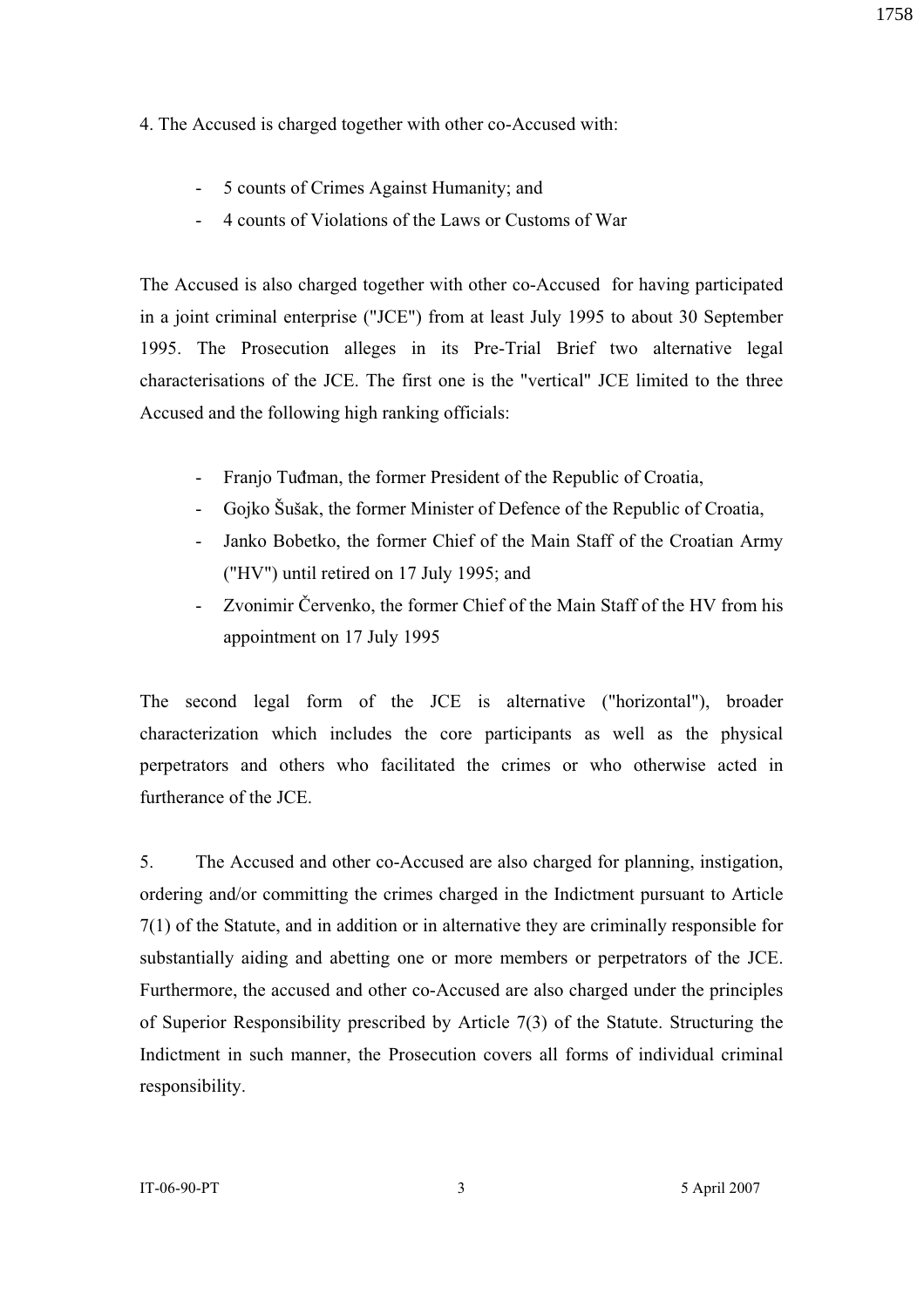4. The Accused is charged together with other co-Accused with:

- 5 counts of Crimes Against Humanity; and
- 4 counts of Violations of the Laws or Customs of War

The Accused is also charged together with other co-Accused for having participated in a joint criminal enterprise ("JCE") from at least July 1995 to about 30 September 1995. The Prosecution alleges in its Pre-Trial Brief two alternative legal characterisations of the JCE. The first one is the "vertical" JCE limited to the three Accused and the following high ranking officials:

- Franjo Tuđman, the former President of the Republic of Croatia,
- Gojko Šušak, the former Minister of Defence of the Republic of Croatia,
- Janko Bobetko, the former Chief of the Main Staff of the Croatian Army ("HV") until retired on 17 July 1995; and
- Zvonimir Červenko, the former Chief of the Main Staff of the HV from his appointment on 17 July 1995

The second legal form of the JCE is alternative ("horizontal"), broader characterization which includes the core participants as well as the physical perpetrators and others who facilitated the crimes or who otherwise acted in furtherance of the JCE.

5. The Accused and other co-Accused are also charged for planning, instigation, ordering and/or committing the crimes charged in the Indictment pursuant to Article 7(1) of the Statute, and in addition or in alternative they are criminally responsible for substantially aiding and abetting one or more members or perpetrators of the JCE. Furthermore, the accused and other co-Accused are also charged under the principles of Superior Responsibility prescribed by Article 7(3) of the Statute. Structuring the Indictment in such manner, the Prosecution covers all forms of individual criminal responsibility.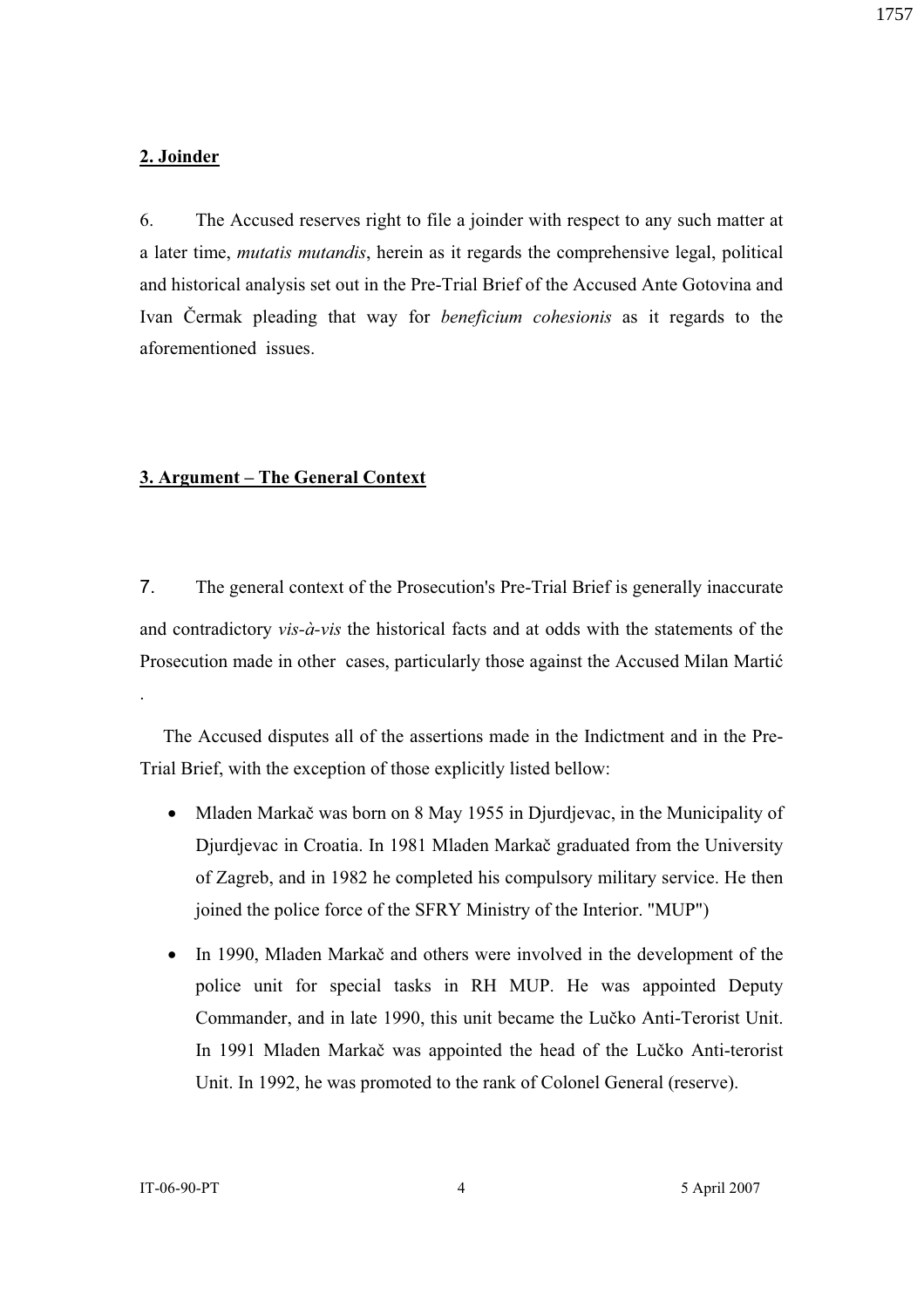#### 1757

## **2. Joinder**

6. The Accused reserves right to file a joinder with respect to any such matter at a later time, *mutatis mutandis*, herein as it regards the comprehensive legal, political and historical analysis set out in the Pre-Trial Brief of the Accused Ante Gotovina and Ivan Čermak pleading that way for *beneficium cohesionis* as it regards to the aforementioned issues.

## **3. Argument – The General Context**

 The general context of the Prosecution's Pre-Trial Brief is generally inaccurate and contradictory *vis-à-vis* the historical facts and at odds with the statements of the Prosecution made in other cases, particularly those against the Accused Milan Martić

The Accused disputes all of the assertions made in the Indictment and in the Pre-Trial Brief, with the exception of those explicitly listed bellow:

- Mladen Markač was born on 8 May 1955 in Djurdjevac, in the Municipality of Djurdjevac in Croatia. In 1981 Mladen Markač graduated from the University of Zagreb, and in 1982 he completed his compulsory military service. He then joined the police force of the SFRY Ministry of the Interior. "MUP")
- In 1990, Mladen Markač and others were involved in the development of the police unit for special tasks in RH MUP. He was appointed Deputy Commander, and in late 1990, this unit became the Lučko Anti-Terorist Unit. In 1991 Mladen Markač was appointed the head of the Lučko Anti-terorist Unit. In 1992, he was promoted to the rank of Colonel General (reserve).

.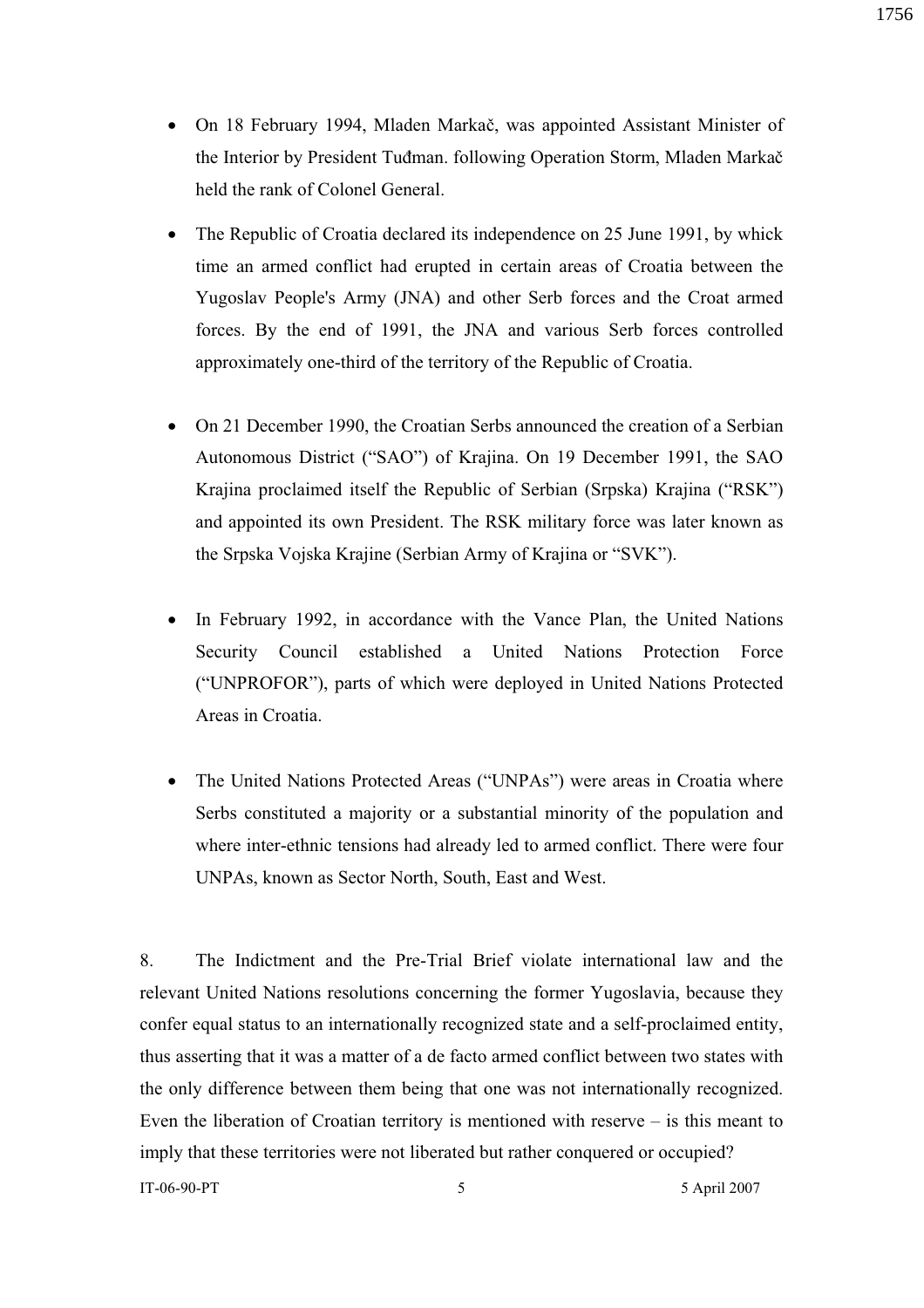1756

- On 18 February 1994, Mladen Markač, was appointed Assistant Minister of the Interior by President Tuđman. following Operation Storm, Mladen Markač held the rank of Colonel General.
- The Republic of Croatia declared its independence on 25 June 1991, by whick time an armed conflict had erupted in certain areas of Croatia between the Yugoslav People's Army (JNA) and other Serb forces and the Croat armed forces. By the end of 1991, the JNA and various Serb forces controlled approximately one-third of the territory of the Republic of Croatia.
- On 21 December 1990, the Croatian Serbs announced the creation of a Serbian Autonomous District ("SAO") of Krajina. On 19 December 1991, the SAO Krajina proclaimed itself the Republic of Serbian (Srpska) Krajina ("RSK") and appointed its own President. The RSK military force was later known as the Srpska Vojska Krajine (Serbian Army of Krajina or "SVK").
- In February 1992, in accordance with the Vance Plan, the United Nations Security Council established a United Nations Protection Force ("UNPROFOR"), parts of which were deployed in United Nations Protected Areas in Croatia.
- The United Nations Protected Areas ("UNPAs") were areas in Croatia where Serbs constituted a majority or a substantial minority of the population and where inter-ethnic tensions had already led to armed conflict. There were four UNPAs, known as Sector North, South, East and West.

IT-06-90-PT 5 5 April 2007 8. The Indictment and the Pre-Trial Brief violate international law and the relevant United Nations resolutions concerning the former Yugoslavia, because they confer equal status to an internationally recognized state and a self-proclaimed entity, thus asserting that it was a matter of a de facto armed conflict between two states with the only difference between them being that one was not internationally recognized. Even the liberation of Croatian territory is mentioned with reserve – is this meant to imply that these territories were not liberated but rather conquered or occupied?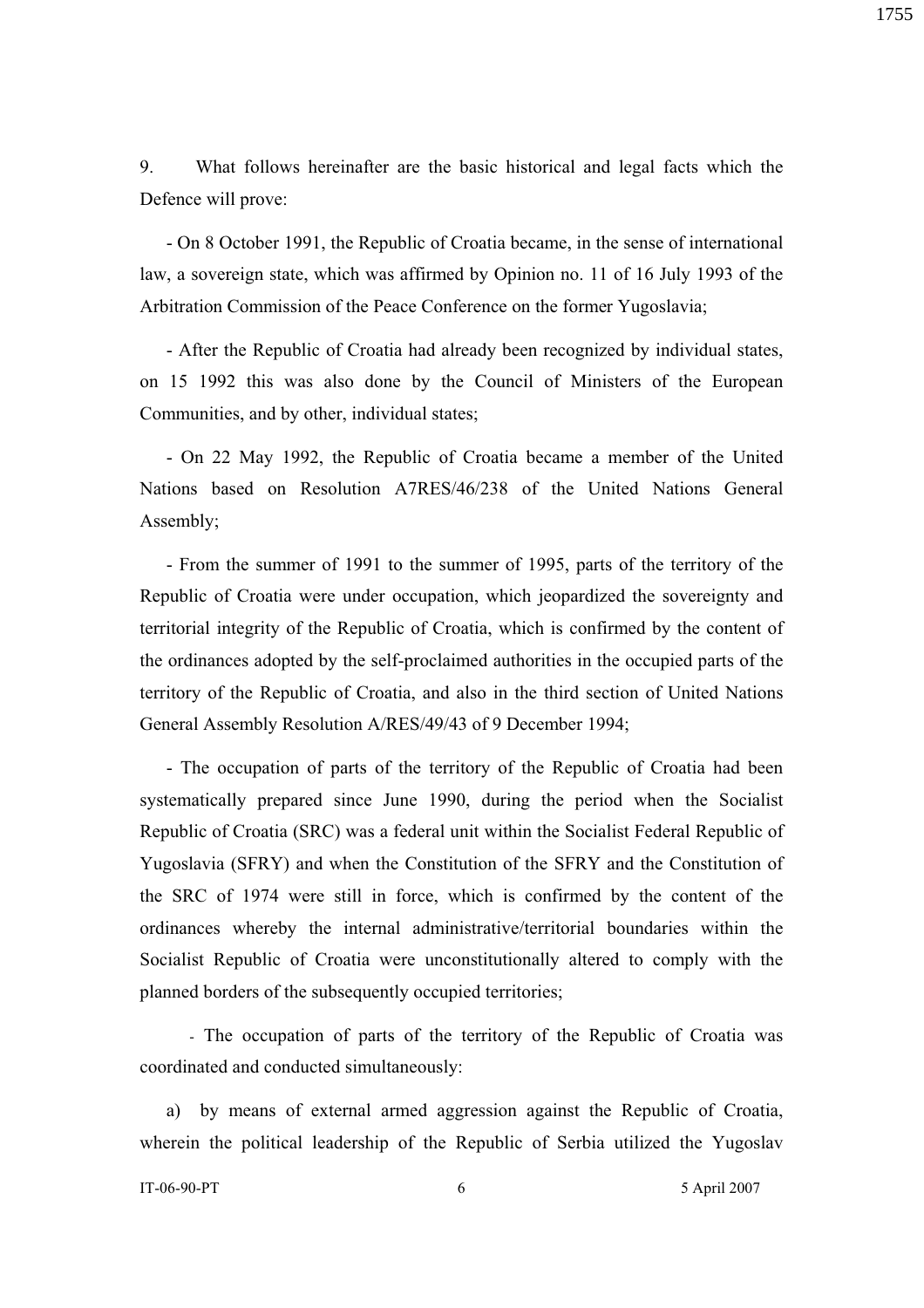9. What follows hereinafter are the basic historical and legal facts which the Defence will prove:

- On 8 October 1991, the Republic of Croatia became, in the sense of international law, a sovereign state, which was affirmed by Opinion no. 11 of 16 July 1993 of the Arbitration Commission of the Peace Conference on the former Yugoslavia;

- After the Republic of Croatia had already been recognized by individual states, on 15 1992 this was also done by the Council of Ministers of the European Communities, and by other, individual states;

- On 22 May 1992, the Republic of Croatia became a member of the United Nations based on Resolution A7RES/46/238 of the United Nations General Assembly;

- From the summer of 1991 to the summer of 1995, parts of the territory of the Republic of Croatia were under occupation, which jeopardized the sovereignty and territorial integrity of the Republic of Croatia, which is confirmed by the content of the ordinances adopted by the self-proclaimed authorities in the occupied parts of the territory of the Republic of Croatia, and also in the third section of United Nations General Assembly Resolution A/RES/49/43 of 9 December 1994;

- The occupation of parts of the territory of the Republic of Croatia had been systematically prepared since June 1990, during the period when the Socialist Republic of Croatia (SRC) was a federal unit within the Socialist Federal Republic of Yugoslavia (SFRY) and when the Constitution of the SFRY and the Constitution of the SRC of 1974 were still in force, which is confirmed by the content of the ordinances whereby the internal administrative/territorial boundaries within the Socialist Republic of Croatia were unconstitutionally altered to comply with the planned borders of the subsequently occupied territories;

- The occupation of parts of the territory of the Republic of Croatia was coordinated and conducted simultaneously:

a) by means of external armed aggression against the Republic of Croatia, wherein the political leadership of the Republic of Serbia utilized the Yugoslav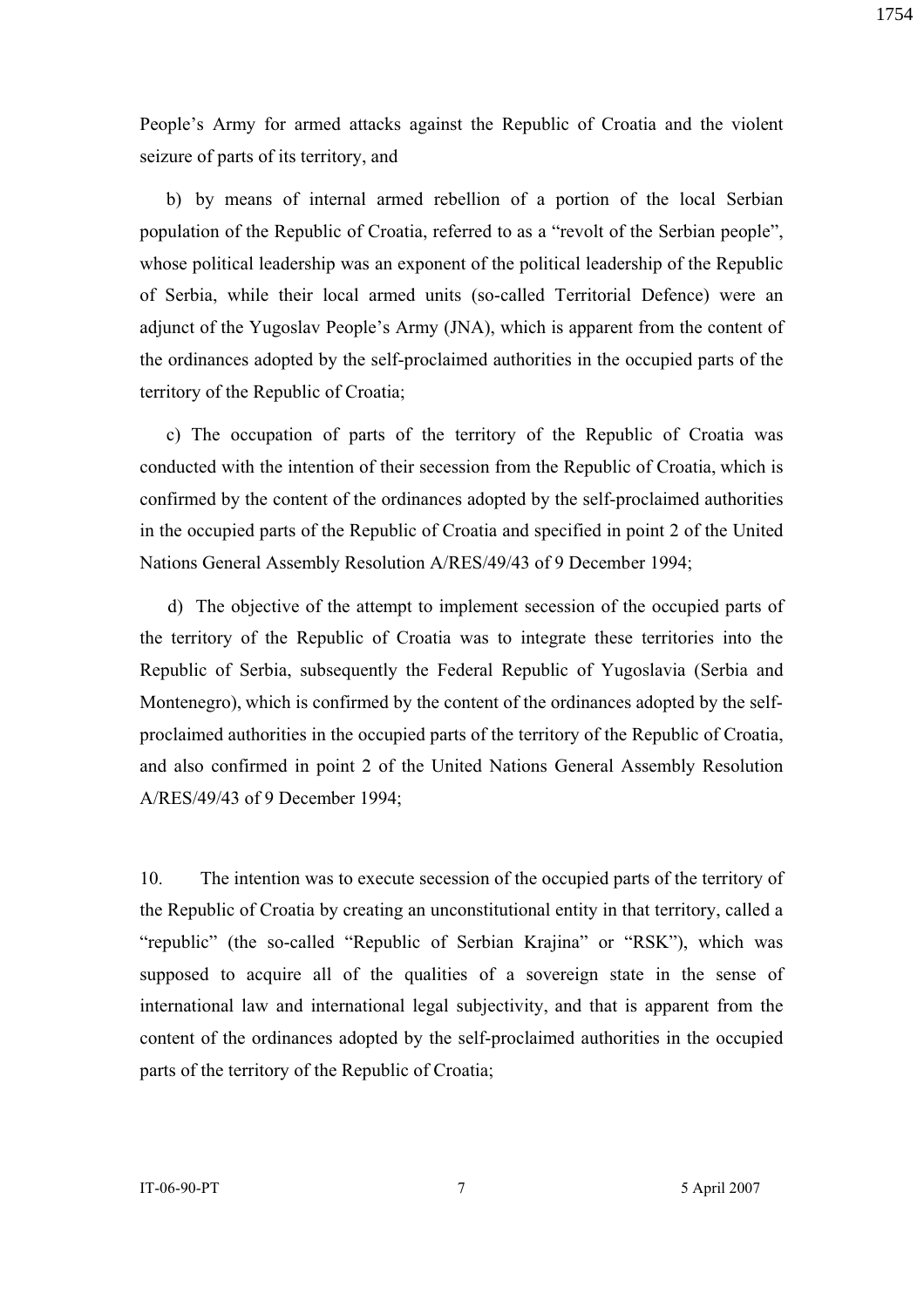People's Army for armed attacks against the Republic of Croatia and the violent seizure of parts of its territory, and

b) by means of internal armed rebellion of a portion of the local Serbian population of the Republic of Croatia, referred to as a "revolt of the Serbian people", whose political leadership was an exponent of the political leadership of the Republic of Serbia, while their local armed units (so-called Territorial Defence) were an adjunct of the Yugoslav People's Army (JNA), which is apparent from the content of the ordinances adopted by the self-proclaimed authorities in the occupied parts of the territory of the Republic of Croatia;

c) The occupation of parts of the territory of the Republic of Croatia was conducted with the intention of their secession from the Republic of Croatia, which is confirmed by the content of the ordinances adopted by the self-proclaimed authorities in the occupied parts of the Republic of Croatia and specified in point 2 of the United Nations General Assembly Resolution A/RES/49/43 of 9 December 1994;

 d) The objective of the attempt to implement secession of the occupied parts of the territory of the Republic of Croatia was to integrate these territories into the Republic of Serbia, subsequently the Federal Republic of Yugoslavia (Serbia and Montenegro), which is confirmed by the content of the ordinances adopted by the selfproclaimed authorities in the occupied parts of the territory of the Republic of Croatia, and also confirmed in point 2 of the United Nations General Assembly Resolution A/RES/49/43 of 9 December 1994;

10. The intention was to execute secession of the occupied parts of the territory of the Republic of Croatia by creating an unconstitutional entity in that territory, called a "republic" (the so-called "Republic of Serbian Krajina" or "RSK"), which was supposed to acquire all of the qualities of a sovereign state in the sense of international law and international legal subjectivity, and that is apparent from the content of the ordinances adopted by the self-proclaimed authorities in the occupied parts of the territory of the Republic of Croatia;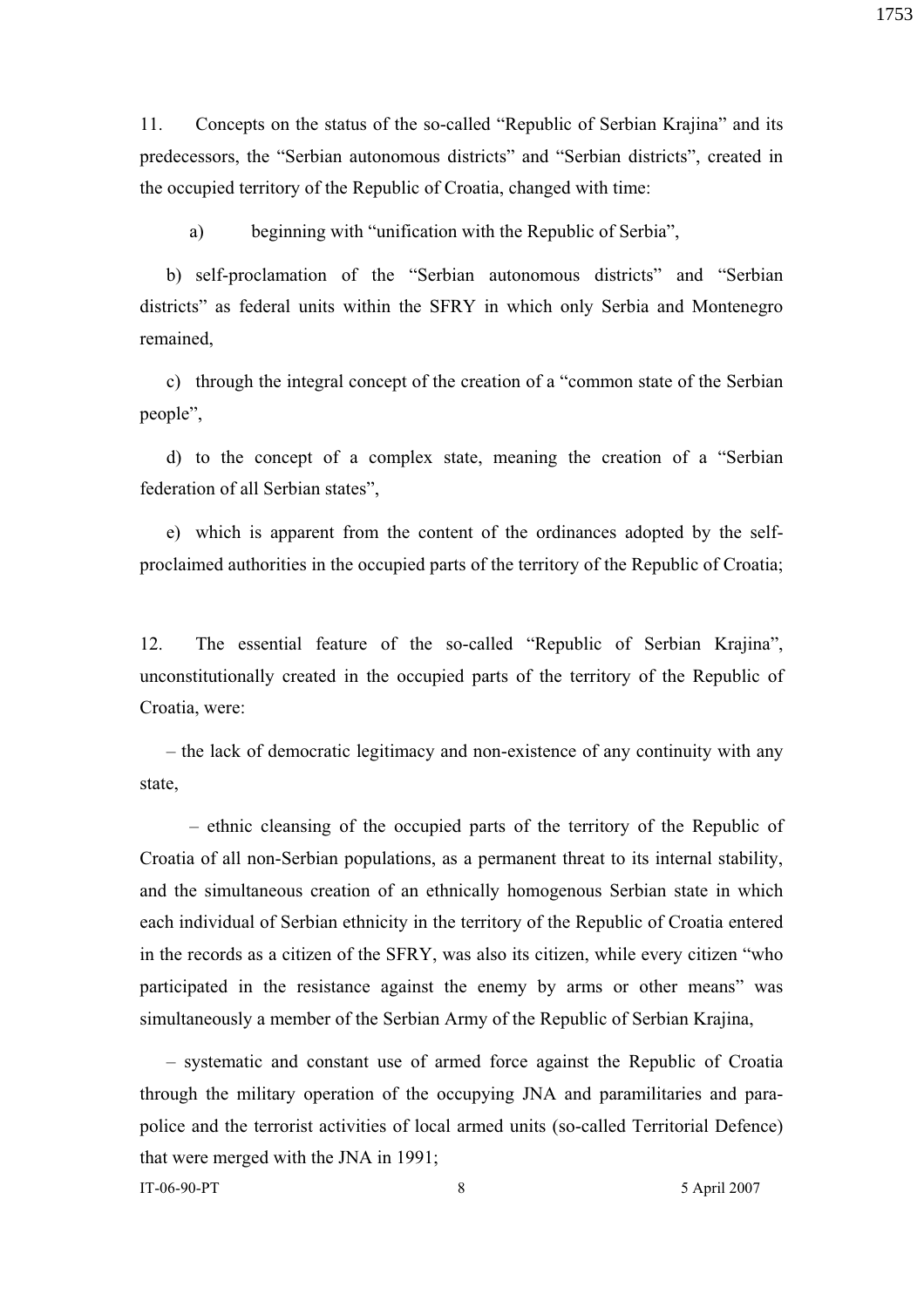11. Concepts on the status of the so-called "Republic of Serbian Krajina" and its predecessors, the "Serbian autonomous districts" and "Serbian districts", created in the occupied territory of the Republic of Croatia, changed with time:

a) beginning with "unification with the Republic of Serbia",

b) self-proclamation of the "Serbian autonomous districts" and "Serbian districts" as federal units within the SFRY in which only Serbia and Montenegro remained,

c) through the integral concept of the creation of a "common state of the Serbian people",

d) to the concept of a complex state, meaning the creation of a "Serbian federation of all Serbian states",

e) which is apparent from the content of the ordinances adopted by the selfproclaimed authorities in the occupied parts of the territory of the Republic of Croatia;

12. The essential feature of the so-called "Republic of Serbian Krajina", unconstitutionally created in the occupied parts of the territory of the Republic of Croatia, were:

– the lack of democratic legitimacy and non-existence of any continuity with any state,

– ethnic cleansing of the occupied parts of the territory of the Republic of Croatia of all non-Serbian populations, as a permanent threat to its internal stability, and the simultaneous creation of an ethnically homogenous Serbian state in which each individual of Serbian ethnicity in the territory of the Republic of Croatia entered in the records as a citizen of the SFRY, was also its citizen, while every citizen "who participated in the resistance against the enemy by arms or other means" was simultaneously a member of the Serbian Army of the Republic of Serbian Krajina,

– systematic and constant use of armed force against the Republic of Croatia through the military operation of the occupying JNA and paramilitaries and parapolice and the terrorist activities of local armed units (so-called Territorial Defence) that were merged with the JNA in 1991;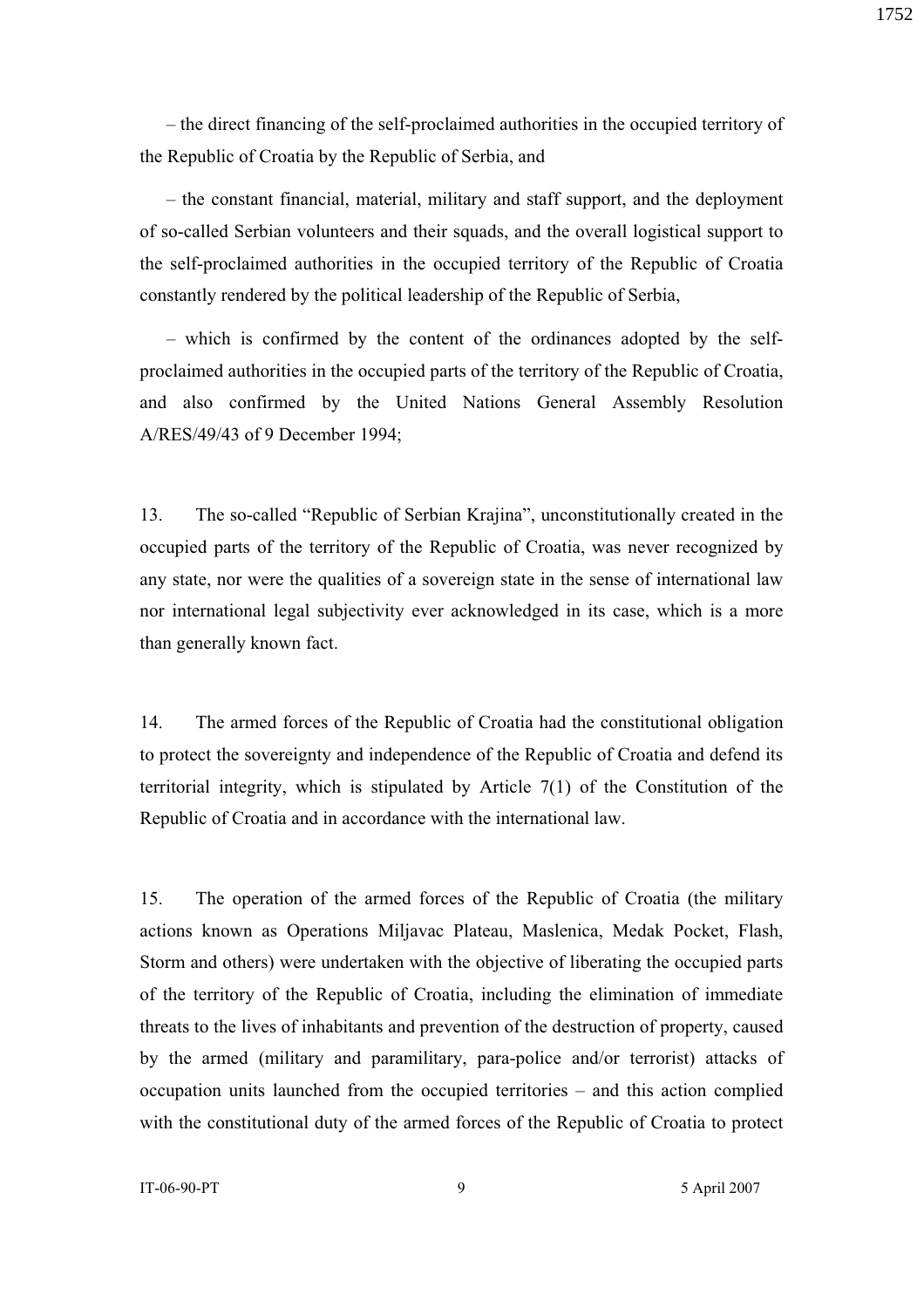1752

– the direct financing of the self-proclaimed authorities in the occupied territory of the Republic of Croatia by the Republic of Serbia, and

– the constant financial, material, military and staff support, and the deployment of so-called Serbian volunteers and their squads, and the overall logistical support to the self-proclaimed authorities in the occupied territory of the Republic of Croatia constantly rendered by the political leadership of the Republic of Serbia,

– which is confirmed by the content of the ordinances adopted by the selfproclaimed authorities in the occupied parts of the territory of the Republic of Croatia, and also confirmed by the United Nations General Assembly Resolution A/RES/49/43 of 9 December 1994;

13. The so-called "Republic of Serbian Krajina", unconstitutionally created in the occupied parts of the territory of the Republic of Croatia, was never recognized by any state, nor were the qualities of a sovereign state in the sense of international law nor international legal subjectivity ever acknowledged in its case, which is a more than generally known fact.

14. The armed forces of the Republic of Croatia had the constitutional obligation to protect the sovereignty and independence of the Republic of Croatia and defend its territorial integrity, which is stipulated by Article 7(1) of the Constitution of the Republic of Croatia and in accordance with the international law.

15. The operation of the armed forces of the Republic of Croatia (the military actions known as Operations Miljavac Plateau, Maslenica, Medak Pocket, Flash, Storm and others) were undertaken with the objective of liberating the occupied parts of the territory of the Republic of Croatia, including the elimination of immediate threats to the lives of inhabitants and prevention of the destruction of property, caused by the armed (military and paramilitary, para-police and/or terrorist) attacks of occupation units launched from the occupied territories – and this action complied with the constitutional duty of the armed forces of the Republic of Croatia to protect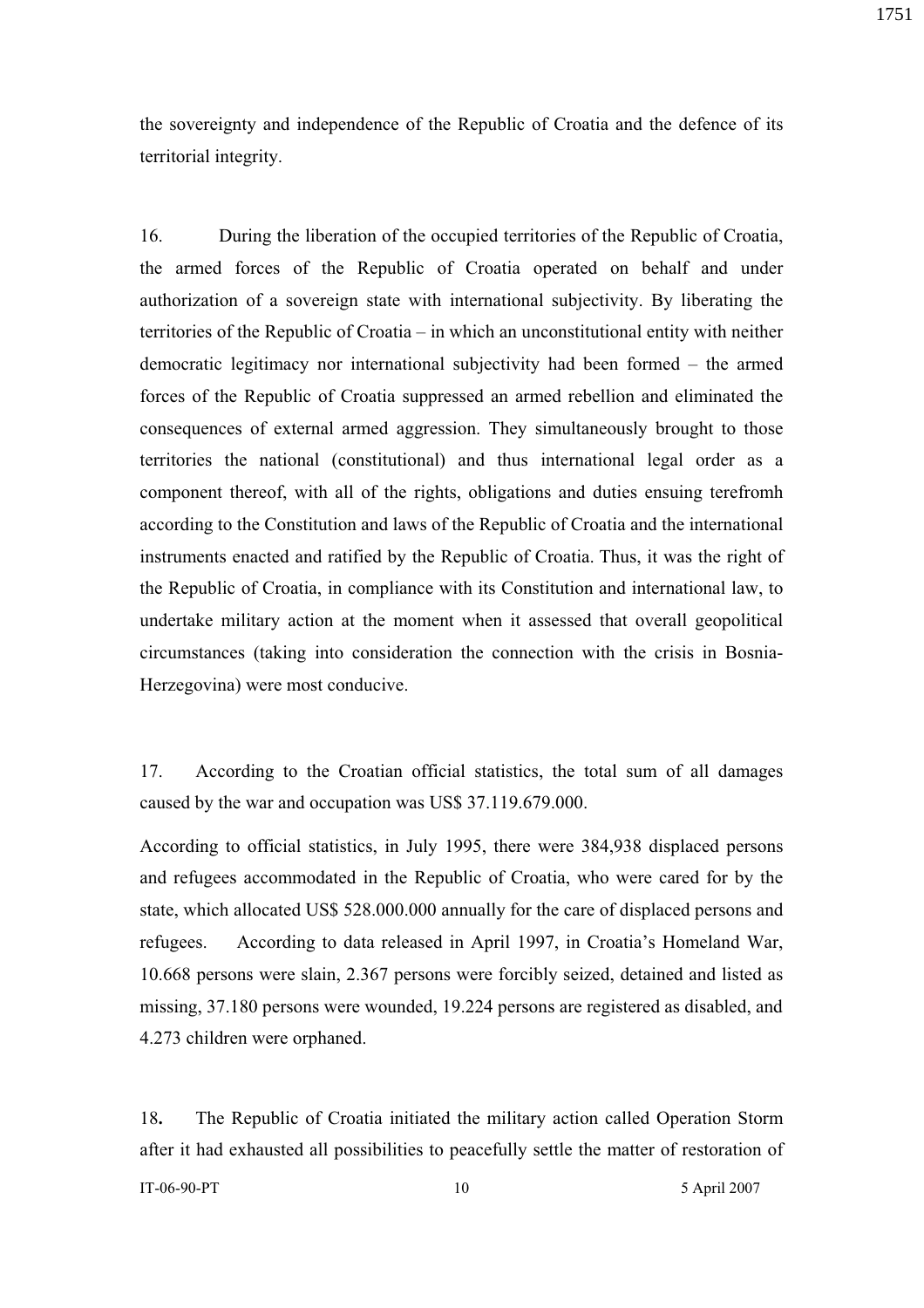the sovereignty and independence of the Republic of Croatia and the defence of its territorial integrity.

16. During the liberation of the occupied territories of the Republic of Croatia, the armed forces of the Republic of Croatia operated on behalf and under authorization of a sovereign state with international subjectivity. By liberating the territories of the Republic of Croatia – in which an unconstitutional entity with neither democratic legitimacy nor international subjectivity had been formed – the armed forces of the Republic of Croatia suppressed an armed rebellion and eliminated the consequences of external armed aggression. They simultaneously brought to those territories the national (constitutional) and thus international legal order as a component thereof, with all of the rights, obligations and duties ensuing terefromh according to the Constitution and laws of the Republic of Croatia and the international instruments enacted and ratified by the Republic of Croatia. Thus, it was the right of the Republic of Croatia, in compliance with its Constitution and international law, to undertake military action at the moment when it assessed that overall geopolitical circumstances (taking into consideration the connection with the crisis in Bosnia-Herzegovina) were most conducive.

17. According to the Croatian official statistics, the total sum of all damages caused by the war and occupation was US\$ 37.119.679.000.

According to official statistics, in July 1995, there were 384,938 displaced persons and refugees accommodated in the Republic of Croatia, who were cared for by the state, which allocated US\$ 528.000.000 annually for the care of displaced persons and refugees. According to data released in April 1997, in Croatia's Homeland War, 10.668 persons were slain, 2.367 persons were forcibly seized, detained and listed as missing, 37.180 persons were wounded, 19.224 persons are registered as disabled, and 4.273 children were orphaned.

18**.** The Republic of Croatia initiated the military action called Operation Storm after it had exhausted all possibilities to peacefully settle the matter of restoration of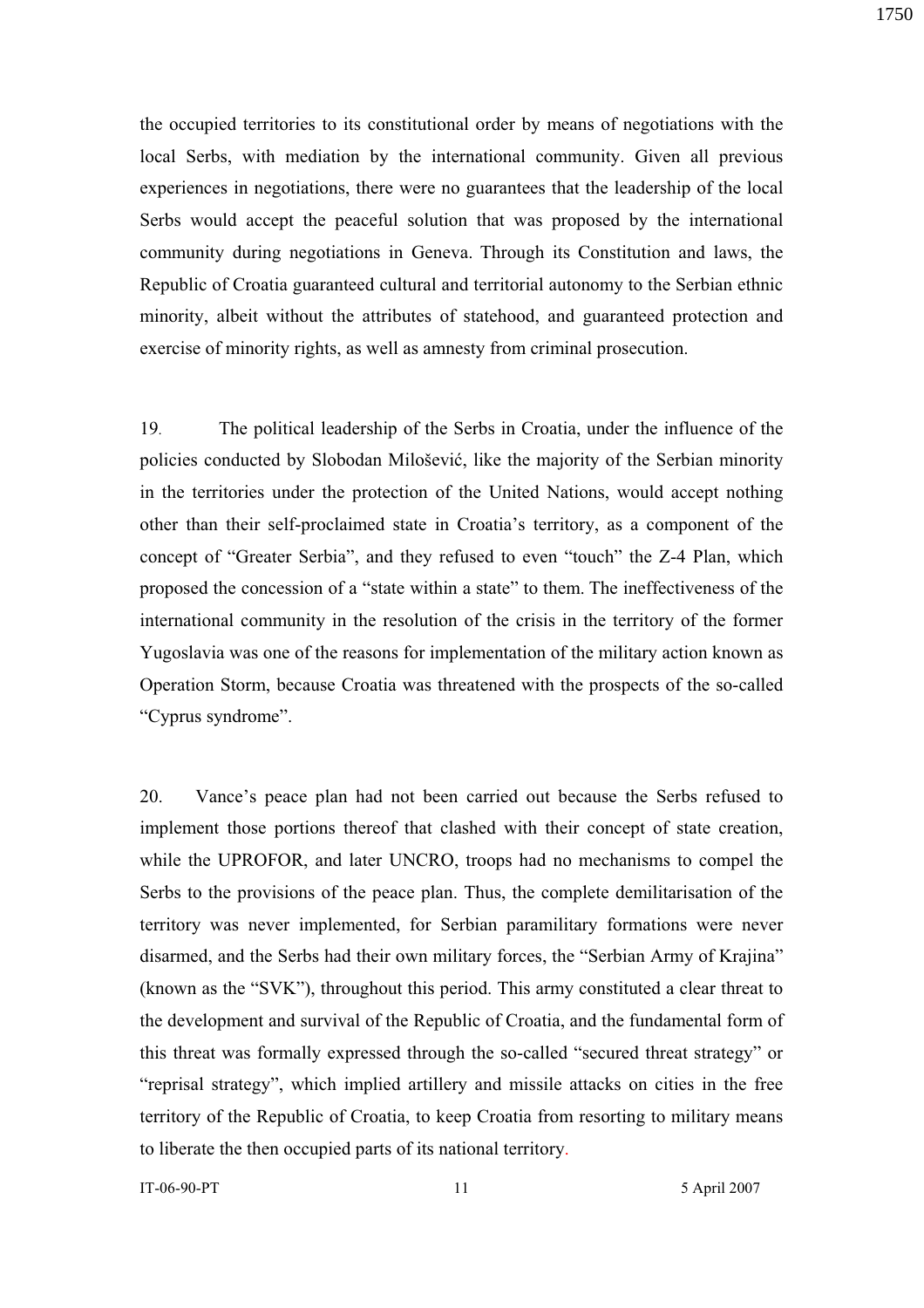the occupied territories to its constitutional order by means of negotiations with the local Serbs, with mediation by the international community. Given all previous experiences in negotiations, there were no guarantees that the leadership of the local Serbs would accept the peaceful solution that was proposed by the international community during negotiations in Geneva. Through its Constitution and laws, the Republic of Croatia guaranteed cultural and territorial autonomy to the Serbian ethnic

minority, albeit without the attributes of statehood, and guaranteed protection and exercise of minority rights, as well as amnesty from criminal prosecution.

19. The political leadership of the Serbs in Croatia, under the influence of the policies conducted by Slobodan Milošević, like the majority of the Serbian minority in the territories under the protection of the United Nations, would accept nothing other than their self-proclaimed state in Croatia's territory, as a component of the concept of "Greater Serbia", and they refused to even "touch" the Z-4 Plan, which proposed the concession of a "state within a state" to them. The ineffectiveness of the international community in the resolution of the crisis in the territory of the former Yugoslavia was one of the reasons for implementation of the military action known as Operation Storm, because Croatia was threatened with the prospects of the so-called "Cyprus syndrome".

20. Vance's peace plan had not been carried out because the Serbs refused to implement those portions thereof that clashed with their concept of state creation, while the UPROFOR, and later UNCRO, troops had no mechanisms to compel the Serbs to the provisions of the peace plan. Thus, the complete demilitarisation of the territory was never implemented, for Serbian paramilitary formations were never disarmed, and the Serbs had their own military forces, the "Serbian Army of Krajina" (known as the "SVK"), throughout this period. This army constituted a clear threat to the development and survival of the Republic of Croatia, and the fundamental form of this threat was formally expressed through the so-called "secured threat strategy" or "reprisal strategy", which implied artillery and missile attacks on cities in the free territory of the Republic of Croatia, to keep Croatia from resorting to military means to liberate the then occupied parts of its national territory.

IT-06-90-PT 11 5 April 2007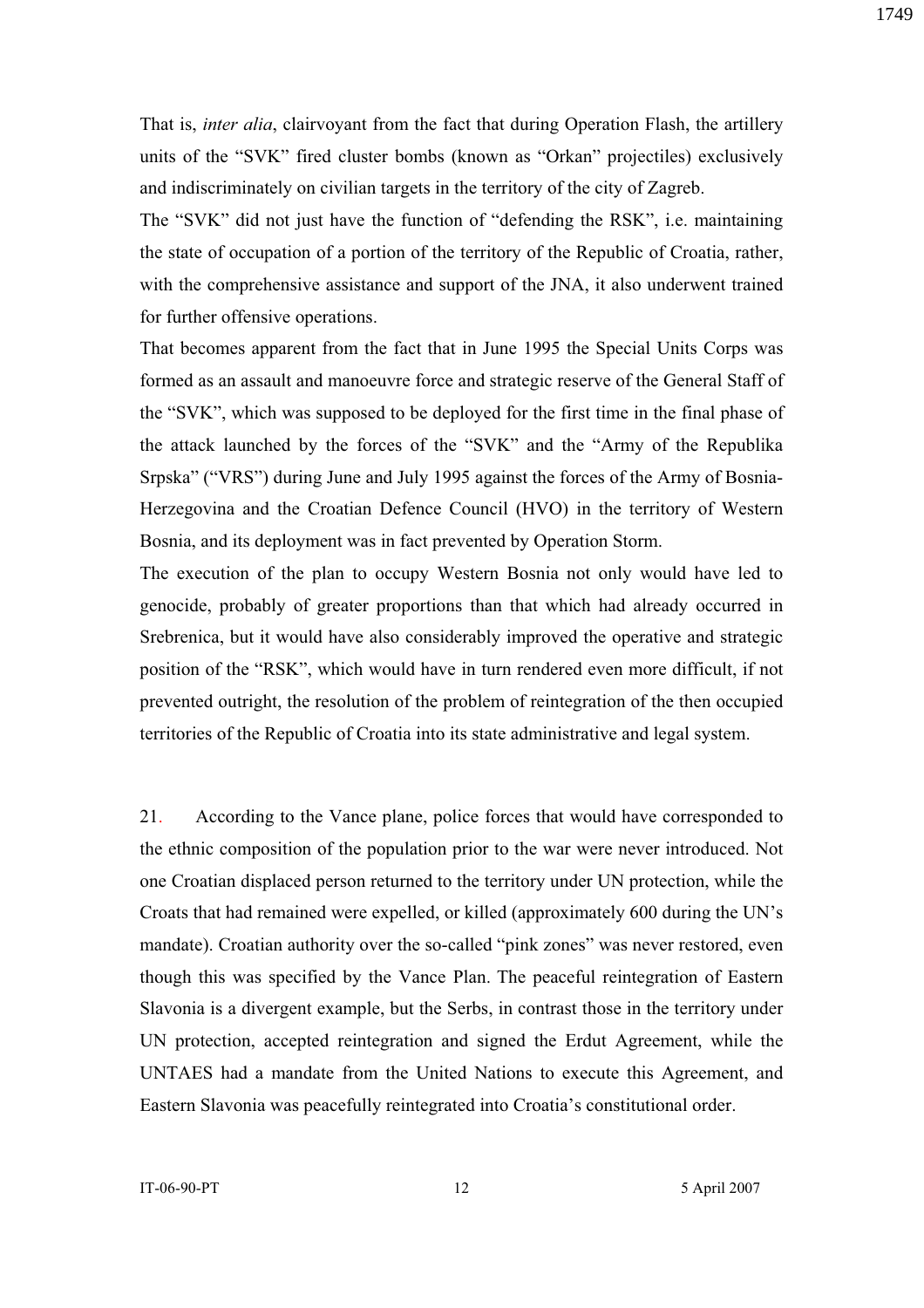1749

That is, *inter alia*, clairvoyant from the fact that during Operation Flash, the artillery units of the "SVK" fired cluster bombs (known as "Orkan" projectiles) exclusively and indiscriminately on civilian targets in the territory of the city of Zagreb.

The "SVK" did not just have the function of "defending the RSK", i.e. maintaining the state of occupation of a portion of the territory of the Republic of Croatia, rather, with the comprehensive assistance and support of the JNA, it also underwent trained for further offensive operations.

That becomes apparent from the fact that in June 1995 the Special Units Corps was formed as an assault and manoeuvre force and strategic reserve of the General Staff of the "SVK", which was supposed to be deployed for the first time in the final phase of the attack launched by the forces of the "SVK" and the "Army of the Republika Srpska" ("VRS") during June and July 1995 against the forces of the Army of Bosnia-Herzegovina and the Croatian Defence Council (HVO) in the territory of Western Bosnia, and its deployment was in fact prevented by Operation Storm.

The execution of the plan to occupy Western Bosnia not only would have led to genocide, probably of greater proportions than that which had already occurred in Srebrenica, but it would have also considerably improved the operative and strategic position of the "RSK", which would have in turn rendered even more difficult, if not prevented outright, the resolution of the problem of reintegration of the then occupied territories of the Republic of Croatia into its state administrative and legal system.

21. According to the Vance plane, police forces that would have corresponded to the ethnic composition of the population prior to the war were never introduced. Not one Croatian displaced person returned to the territory under UN protection, while the Croats that had remained were expelled, or killed (approximately 600 during the UN's mandate). Croatian authority over the so-called "pink zones" was never restored, even though this was specified by the Vance Plan. The peaceful reintegration of Eastern Slavonia is a divergent example, but the Serbs, in contrast those in the territory under UN protection, accepted reintegration and signed the Erdut Agreement, while the UNTAES had a mandate from the United Nations to execute this Agreement, and Eastern Slavonia was peacefully reintegrated into Croatia's constitutional order.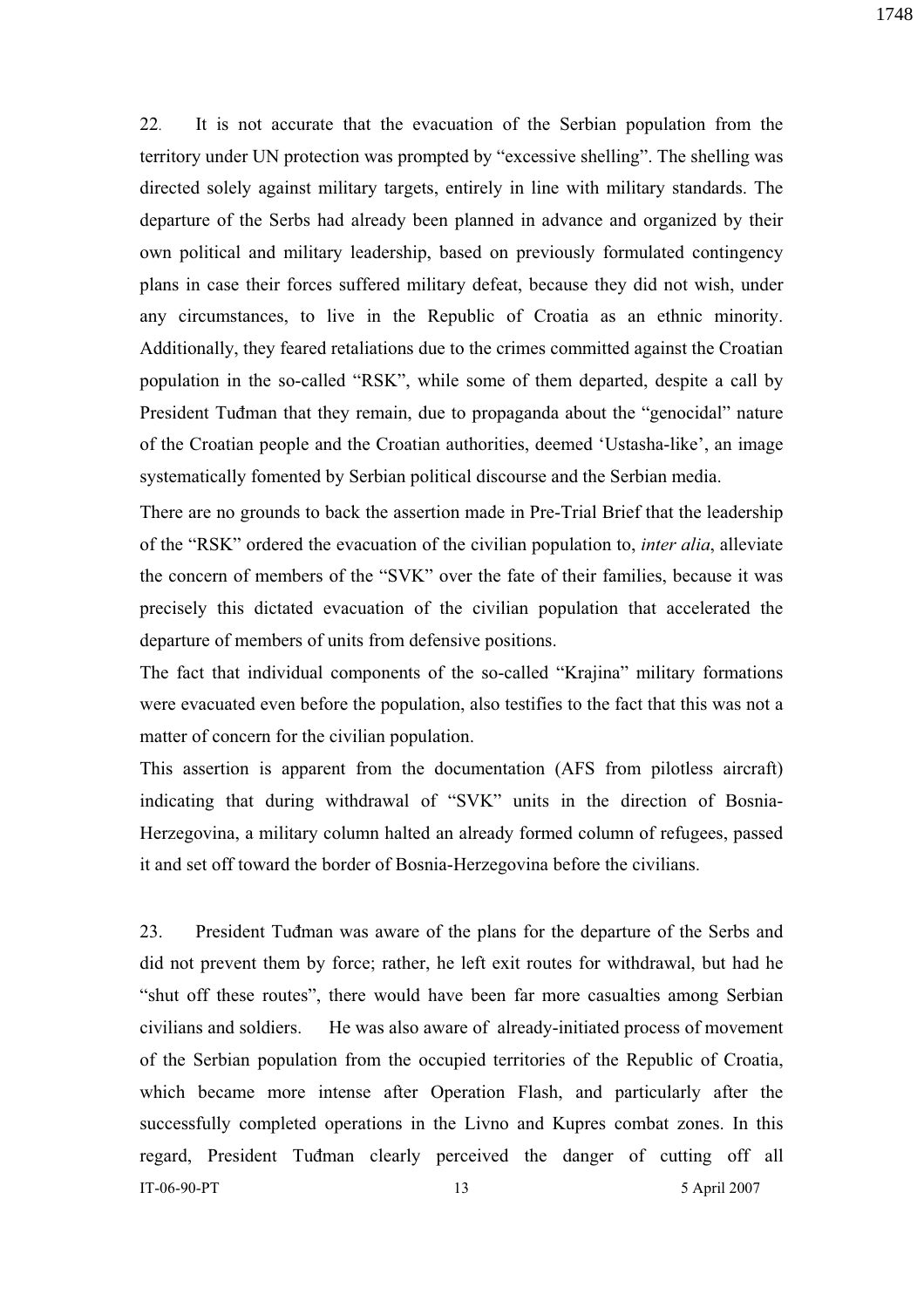22. It is not accurate that the evacuation of the Serbian population from the territory under UN protection was prompted by "excessive shelling". The shelling was directed solely against military targets, entirely in line with military standards. The departure of the Serbs had already been planned in advance and organized by their own political and military leadership, based on previously formulated contingency plans in case their forces suffered military defeat, because they did not wish, under any circumstances, to live in the Republic of Croatia as an ethnic minority. Additionally, they feared retaliations due to the crimes committed against the Croatian population in the so-called "RSK", while some of them departed, despite a call by President Tuđman that they remain, due to propaganda about the "genocidal" nature of the Croatian people and the Croatian authorities, deemed 'Ustasha-like', an image systematically fomented by Serbian political discourse and the Serbian media.

There are no grounds to back the assertion made in Pre-Trial Brief that the leadership of the "RSK" ordered the evacuation of the civilian population to, *inter alia*, alleviate the concern of members of the "SVK" over the fate of their families, because it was precisely this dictated evacuation of the civilian population that accelerated the departure of members of units from defensive positions.

The fact that individual components of the so-called "Krajina" military formations were evacuated even before the population, also testifies to the fact that this was not a matter of concern for the civilian population.

This assertion is apparent from the documentation (AFS from pilotless aircraft) indicating that during withdrawal of "SVK" units in the direction of Bosnia-Herzegovina, a military column halted an already formed column of refugees, passed it and set off toward the border of Bosnia-Herzegovina before the civilians.

IT-06-90-PT 13 5 April 2007 23. President Tuđman was aware of the plans for the departure of the Serbs and did not prevent them by force; rather, he left exit routes for withdrawal, but had he "shut off these routes", there would have been far more casualties among Serbian civilians and soldiers. He was also aware of already-initiated process of movement of the Serbian population from the occupied territories of the Republic of Croatia, which became more intense after Operation Flash, and particularly after the successfully completed operations in the Livno and Kupres combat zones. In this regard, President Tuđman clearly perceived the danger of cutting off all

1748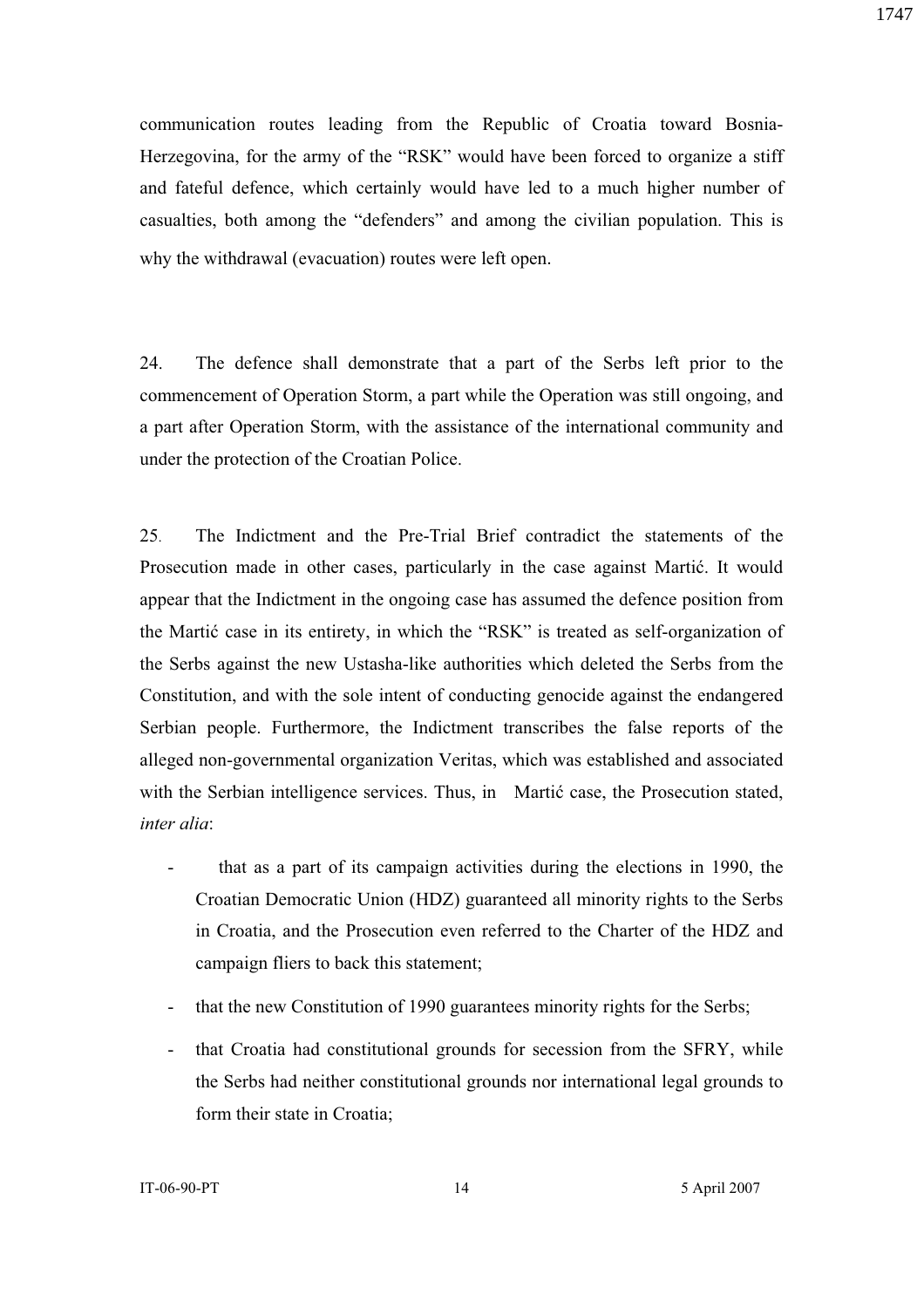communication routes leading from the Republic of Croatia toward Bosnia-Herzegovina, for the army of the "RSK" would have been forced to organize a stiff and fateful defence, which certainly would have led to a much higher number of casualties, both among the "defenders" and among the civilian population. This is why the withdrawal (evacuation) routes were left open.

24. The defence shall demonstrate that a part of the Serbs left prior to the commencement of Operation Storm, a part while the Operation was still ongoing, and a part after Operation Storm, with the assistance of the international community and under the protection of the Croatian Police.

25. The Indictment and the Pre-Trial Brief contradict the statements of the Prosecution made in other cases, particularly in the case against Martić. It would appear that the Indictment in the ongoing case has assumed the defence position from the Martić case in its entirety, in which the "RSK" is treated as self-organization of the Serbs against the new Ustasha-like authorities which deleted the Serbs from the Constitution, and with the sole intent of conducting genocide against the endangered Serbian people. Furthermore, the Indictment transcribes the false reports of the alleged non-governmental organization Veritas, which was established and associated with the Serbian intelligence services. Thus, in Martic case, the Prosecution stated, *inter alia*:

- that as a part of its campaign activities during the elections in 1990, the Croatian Democratic Union (HDZ) guaranteed all minority rights to the Serbs in Croatia, and the Prosecution even referred to the Charter of the HDZ and campaign fliers to back this statement;
- that the new Constitution of 1990 guarantees minority rights for the Serbs;
- that Croatia had constitutional grounds for secession from the SFRY, while the Serbs had neither constitutional grounds nor international legal grounds to form their state in Croatia;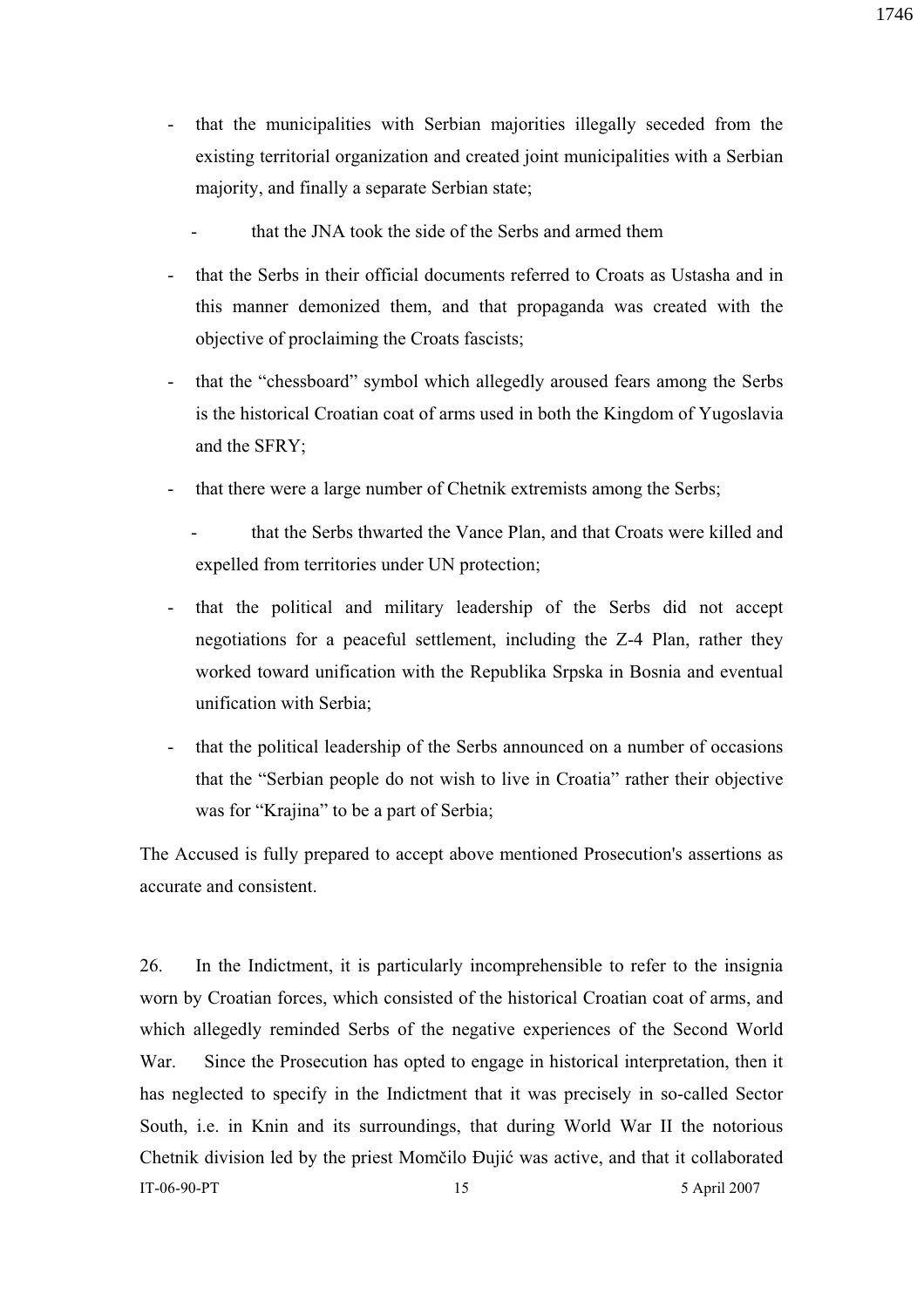1746

- that the municipalities with Serbian majorities illegally seceded from the existing territorial organization and created joint municipalities with a Serbian majority, and finally a separate Serbian state;
	- that the JNA took the side of the Serbs and armed them
- that the Serbs in their official documents referred to Croats as Ustasha and in this manner demonized them, and that propaganda was created with the objective of proclaiming the Croats fascists;
- that the "chessboard" symbol which allegedly aroused fears among the Serbs is the historical Croatian coat of arms used in both the Kingdom of Yugoslavia and the SFRY;
- that there were a large number of Chetnik extremists among the Serbs;
	- that the Serbs thwarted the Vance Plan, and that Croats were killed and expelled from territories under UN protection;
- that the political and military leadership of the Serbs did not accept negotiations for a peaceful settlement, including the Z-4 Plan, rather they worked toward unification with the Republika Srpska in Bosnia and eventual unification with Serbia;
- that the political leadership of the Serbs announced on a number of occasions that the "Serbian people do not wish to live in Croatia" rather their objective was for "Krajina" to be a part of Serbia;

The Accused is fully prepared to accept above mentioned Prosecution's assertions as accurate and consistent.

IT-06-90-PT 15 5 April 2007 26. In the Indictment, it is particularly incomprehensible to refer to the insignia worn by Croatian forces, which consisted of the historical Croatian coat of arms, and which allegedly reminded Serbs of the negative experiences of the Second World War. Since the Prosecution has opted to engage in historical interpretation, then it has neglected to specify in the Indictment that it was precisely in so-called Sector South, i.e. in Knin and its surroundings, that during World War II the notorious Chetnik division led by the priest Momčilo Đujić was active, and that it collaborated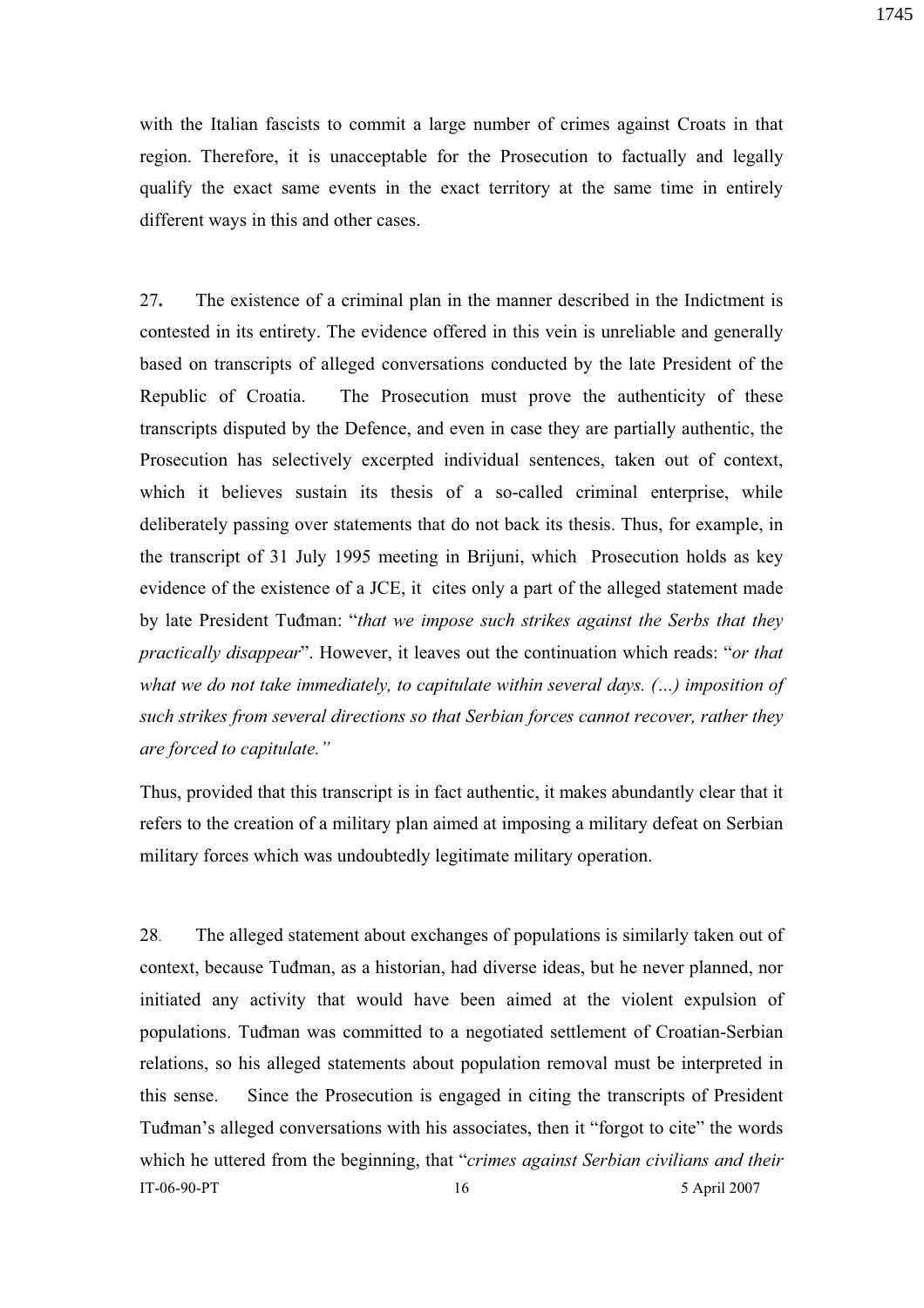with the Italian fascists to commit a large number of crimes against Croats in that region. Therefore, it is unacceptable for the Prosecution to factually and legally qualify the exact same events in the exact territory at the same time in entirely different ways in this and other cases.

27**.** The existence of a criminal plan in the manner described in the Indictment is contested in its entirety. The evidence offered in this vein is unreliable and generally based on transcripts of alleged conversations conducted by the late President of the Republic of Croatia. The Prosecution must prove the authenticity of these transcripts disputed by the Defence, and even in case they are partially authentic, the Prosecution has selectively excerpted individual sentences, taken out of context, which it believes sustain its thesis of a so-called criminal enterprise, while deliberately passing over statements that do not back its thesis. Thus, for example, in the transcript of 31 July 1995 meeting in Brijuni, which Prosecution holds as key evidence of the existence of a JCE, it cites only a part of the alleged statement made by late President Tuđman: "*that we impose such strikes against the Serbs that they practically disappear*". However, it leaves out the continuation which reads: "*or that what we do not take immediately, to capitulate within several days. (…) imposition of such strikes from several directions so that Serbian forces cannot recover, rather they are forced to capitulate."*

Thus, provided that this transcript is in fact authentic, it makes abundantly clear that it refers to the creation of a military plan aimed at imposing a military defeat on Serbian military forces which was undoubtedly legitimate military operation.

IT-06-90-PT 5 April 2007 16 28. The alleged statement about exchanges of populations is similarly taken out of context, because Tuđman, as a historian, had diverse ideas, but he never planned, nor initiated any activity that would have been aimed at the violent expulsion of populations. Tuđman was committed to a negotiated settlement of Croatian-Serbian relations, so his alleged statements about population removal must be interpreted in this sense. Since the Prosecution is engaged in citing the transcripts of President Tuđman's alleged conversations with his associates, then it "forgot to cite" the words which he uttered from the beginning, that "*crimes against Serbian civilians and their*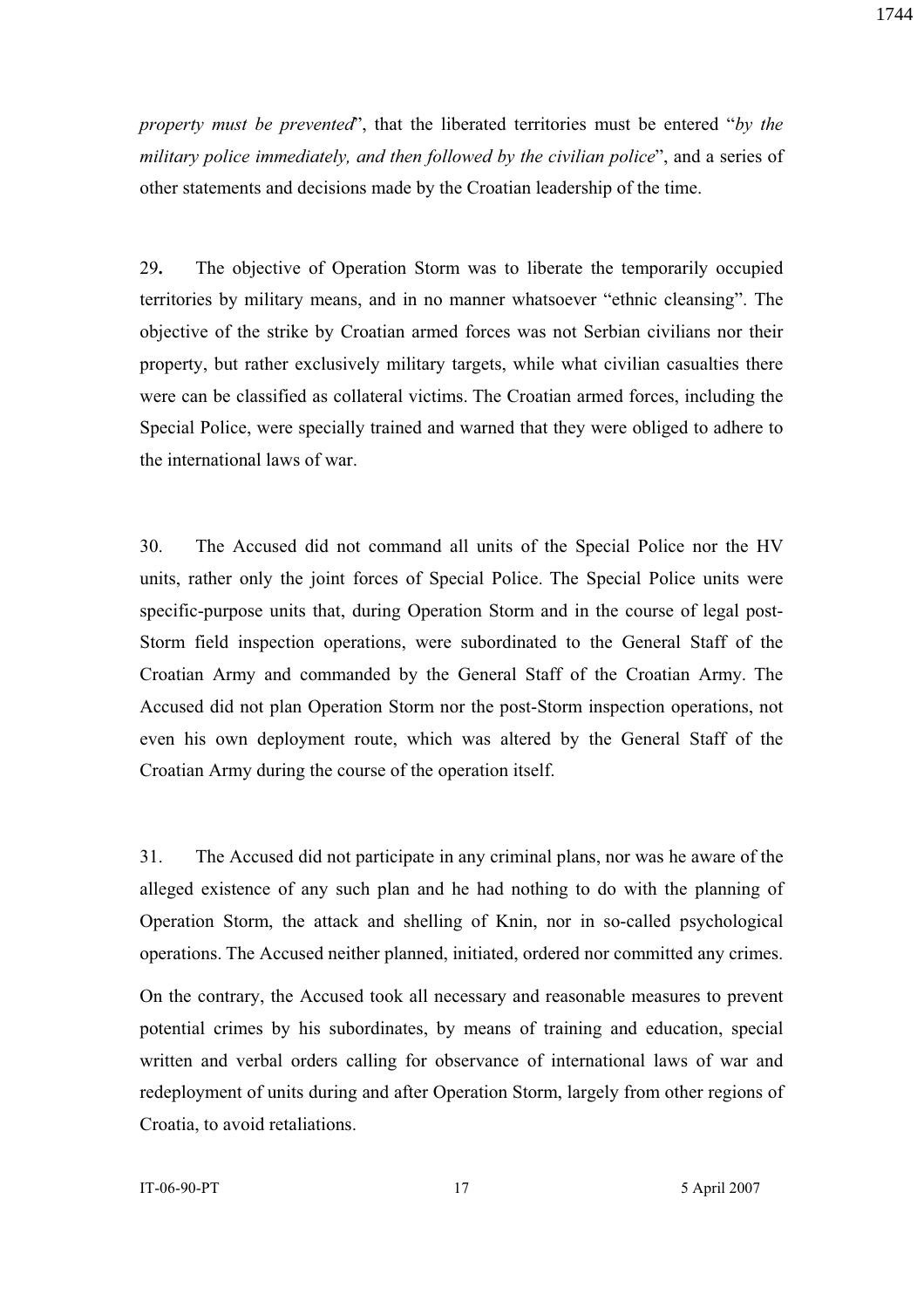*property must be prevented*", that the liberated territories must be entered "*by the military police immediately, and then followed by the civilian police*", and a series of other statements and decisions made by the Croatian leadership of the time.

29**.** The objective of Operation Storm was to liberate the temporarily occupied territories by military means, and in no manner whatsoever "ethnic cleansing". The objective of the strike by Croatian armed forces was not Serbian civilians nor their property, but rather exclusively military targets, while what civilian casualties there were can be classified as collateral victims. The Croatian armed forces, including the Special Police, were specially trained and warned that they were obliged to adhere to the international laws of war.

30. The Accused did not command all units of the Special Police nor the HV units, rather only the joint forces of Special Police. The Special Police units were specific-purpose units that, during Operation Storm and in the course of legal post-Storm field inspection operations, were subordinated to the General Staff of the Croatian Army and commanded by the General Staff of the Croatian Army. The Accused did not plan Operation Storm nor the post-Storm inspection operations, not even his own deployment route, which was altered by the General Staff of the Croatian Army during the course of the operation itself.

31. The Accused did not participate in any criminal plans, nor was he aware of the alleged existence of any such plan and he had nothing to do with the planning of Operation Storm, the attack and shelling of Knin, nor in so-called psychological operations. The Accused neither planned, initiated, ordered nor committed any crimes.

On the contrary, the Accused took all necessary and reasonable measures to prevent potential crimes by his subordinates, by means of training and education, special written and verbal orders calling for observance of international laws of war and redeployment of units during and after Operation Storm, largely from other regions of Croatia, to avoid retaliations.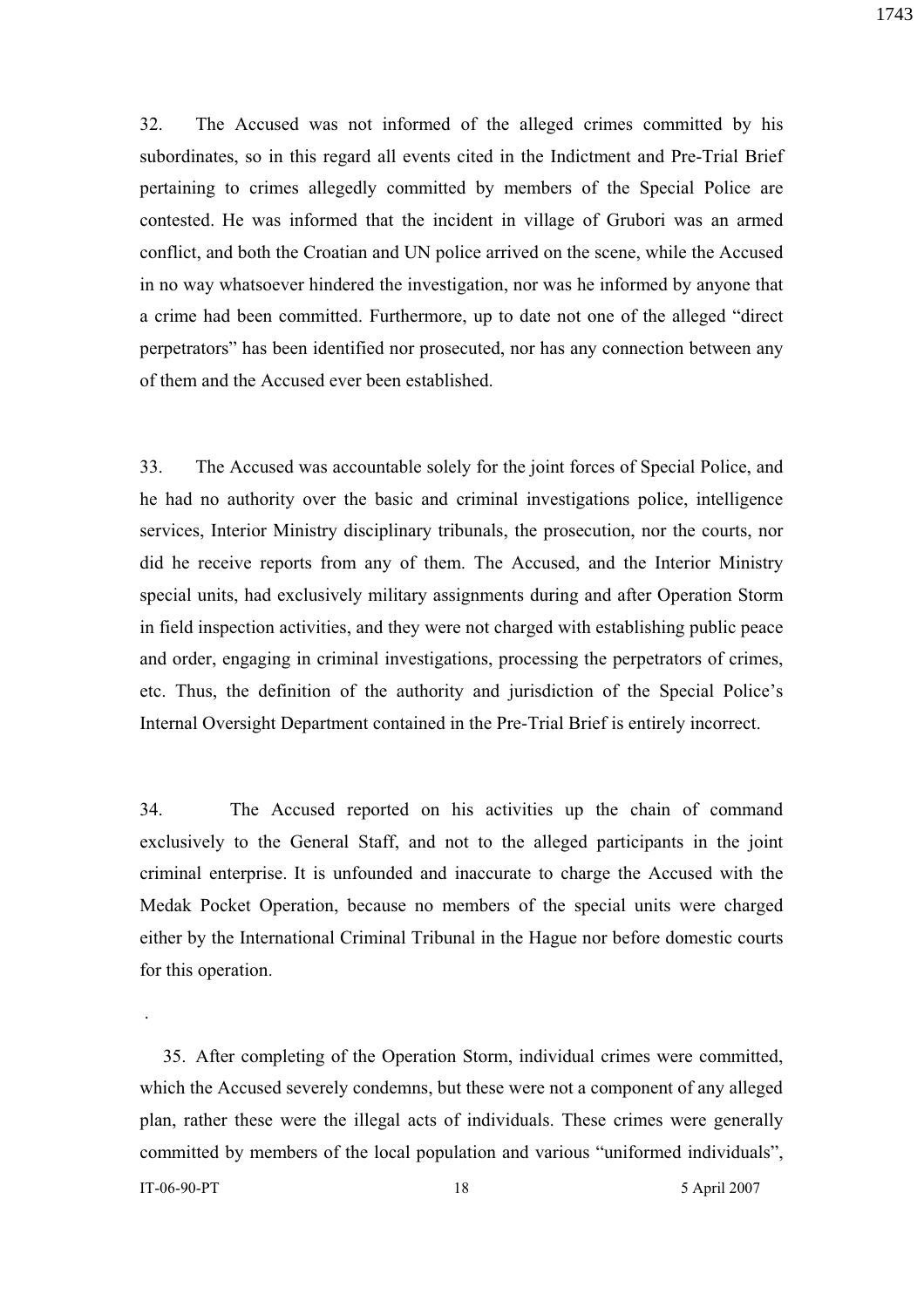32. The Accused was not informed of the alleged crimes committed by his subordinates, so in this regard all events cited in the Indictment and Pre-Trial Brief pertaining to crimes allegedly committed by members of the Special Police are contested. He was informed that the incident in village of Grubori was an armed conflict, and both the Croatian and UN police arrived on the scene, while the Accused in no way whatsoever hindered the investigation, nor was he informed by anyone that a crime had been committed. Furthermore, up to date not one of the alleged "direct perpetrators" has been identified nor prosecuted, nor has any connection between any of them and the Accused ever been established.

33. The Accused was accountable solely for the joint forces of Special Police, and he had no authority over the basic and criminal investigations police, intelligence services, Interior Ministry disciplinary tribunals, the prosecution, nor the courts, nor did he receive reports from any of them. The Accused, and the Interior Ministry special units, had exclusively military assignments during and after Operation Storm in field inspection activities, and they were not charged with establishing public peace and order, engaging in criminal investigations, processing the perpetrators of crimes, etc. Thus, the definition of the authority and jurisdiction of the Special Police's Internal Oversight Department contained in the Pre-Trial Brief is entirely incorrect.

34. The Accused reported on his activities up the chain of command exclusively to the General Staff, and not to the alleged participants in the joint criminal enterprise. It is unfounded and inaccurate to charge the Accused with the Medak Pocket Operation, because no members of the special units were charged either by the International Criminal Tribunal in the Hague nor before domestic courts for this operation.

35. After completing of the Operation Storm, individual crimes were committed, which the Accused severely condemns, but these were not a component of any alleged plan, rather these were the illegal acts of individuals. These crimes were generally committed by members of the local population and various "uniformed individuals",

.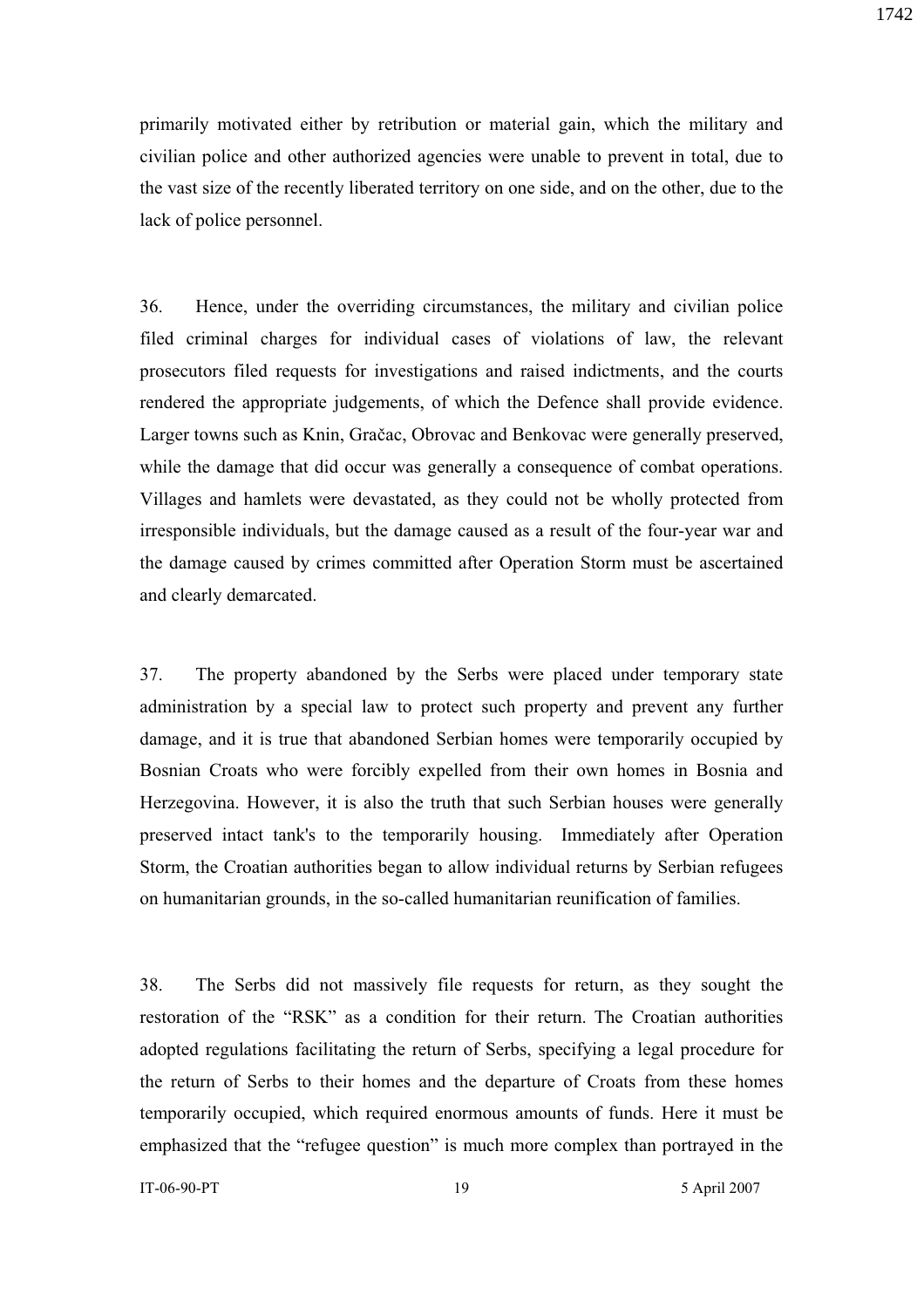primarily motivated either by retribution or material gain, which the military and civilian police and other authorized agencies were unable to prevent in total, due to the vast size of the recently liberated territory on one side, and on the other, due to the lack of police personnel.

36. Hence, under the overriding circumstances, the military and civilian police filed criminal charges for individual cases of violations of law, the relevant prosecutors filed requests for investigations and raised indictments, and the courts rendered the appropriate judgements, of which the Defence shall provide evidence. Larger towns such as Knin, Gračac, Obrovac and Benkovac were generally preserved, while the damage that did occur was generally a consequence of combat operations. Villages and hamlets were devastated, as they could not be wholly protected from irresponsible individuals, but the damage caused as a result of the four-year war and the damage caused by crimes committed after Operation Storm must be ascertained and clearly demarcated.

37. The property abandoned by the Serbs were placed under temporary state administration by a special law to protect such property and prevent any further damage, and it is true that abandoned Serbian homes were temporarily occupied by Bosnian Croats who were forcibly expelled from their own homes in Bosnia and Herzegovina. However, it is also the truth that such Serbian houses were generally preserved intact tank's to the temporarily housing. Immediately after Operation Storm, the Croatian authorities began to allow individual returns by Serbian refugees on humanitarian grounds, in the so-called humanitarian reunification of families.

38. The Serbs did not massively file requests for return, as they sought the restoration of the "RSK" as a condition for their return. The Croatian authorities adopted regulations facilitating the return of Serbs, specifying a legal procedure for the return of Serbs to their homes and the departure of Croats from these homes temporarily occupied, which required enormous amounts of funds. Here it must be emphasized that the "refugee question" is much more complex than portrayed in the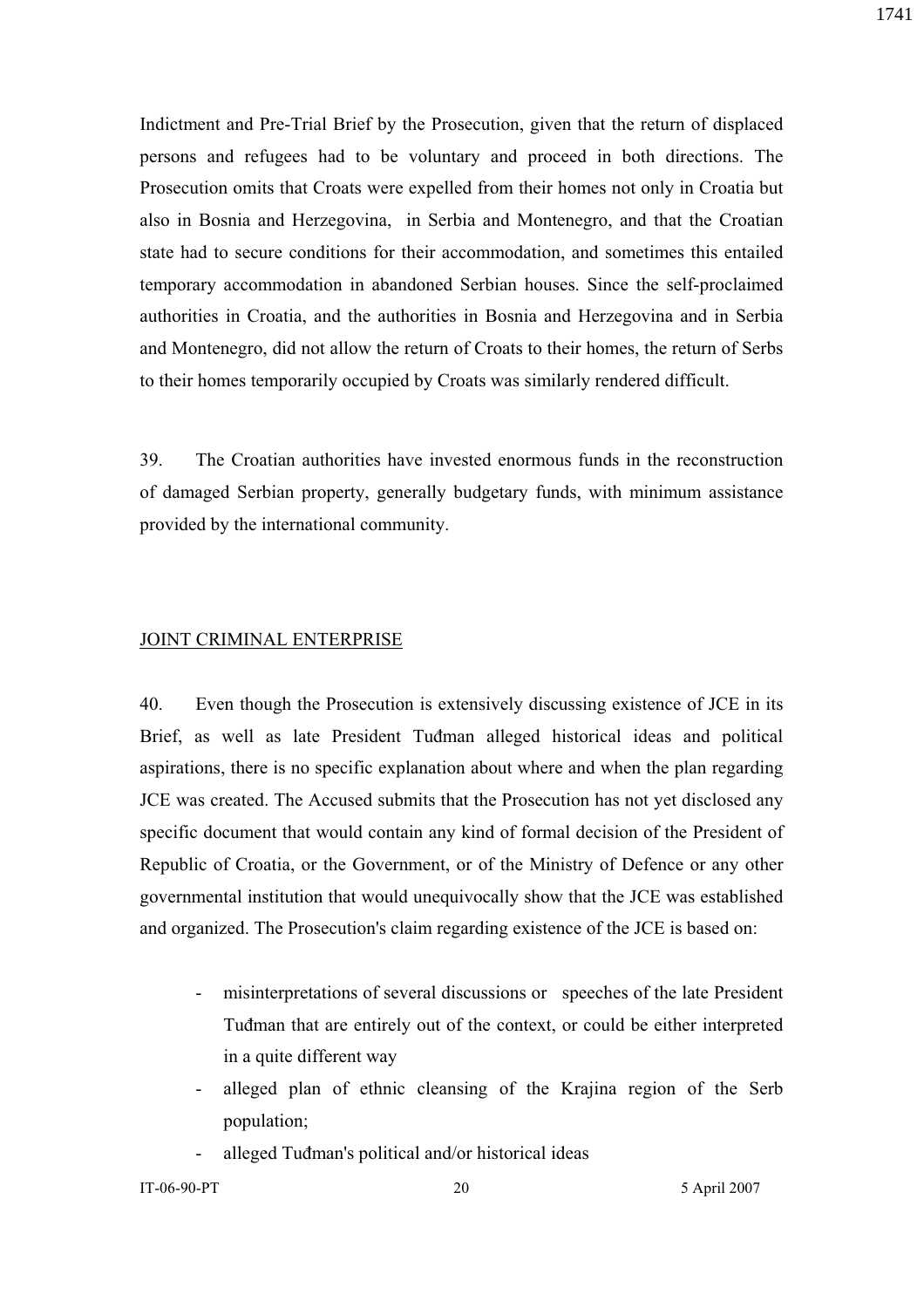Indictment and Pre-Trial Brief by the Prosecution, given that the return of displaced persons and refugees had to be voluntary and proceed in both directions. The Prosecution omits that Croats were expelled from their homes not only in Croatia but also in Bosnia and Herzegovina, in Serbia and Montenegro, and that the Croatian state had to secure conditions for their accommodation, and sometimes this entailed temporary accommodation in abandoned Serbian houses. Since the self-proclaimed authorities in Croatia, and the authorities in Bosnia and Herzegovina and in Serbia and Montenegro, did not allow the return of Croats to their homes, the return of Serbs to their homes temporarily occupied by Croats was similarly rendered difficult.

39. The Croatian authorities have invested enormous funds in the reconstruction of damaged Serbian property, generally budgetary funds, with minimum assistance provided by the international community.

## JOINT CRIMINAL ENTERPRISE

40. Even though the Prosecution is extensively discussing existence of JCE in its Brief, as well as late President Tuđman alleged historical ideas and political aspirations, there is no specific explanation about where and when the plan regarding JCE was created. The Accused submits that the Prosecution has not yet disclosed any specific document that would contain any kind of formal decision of the President of Republic of Croatia, or the Government, or of the Ministry of Defence or any other governmental institution that would unequivocally show that the JCE was established and organized. The Prosecution's claim regarding existence of the JCE is based on:

- misinterpretations of several discussions or speeches of the late President Tudman that are entirely out of the context, or could be either interpreted in a quite different way
- alleged plan of ethnic cleansing of the Krajina region of the Serb population;
- alleged Tuđman's political and/or historical ideas

#### IT-06-90-PT 5 April 2007 20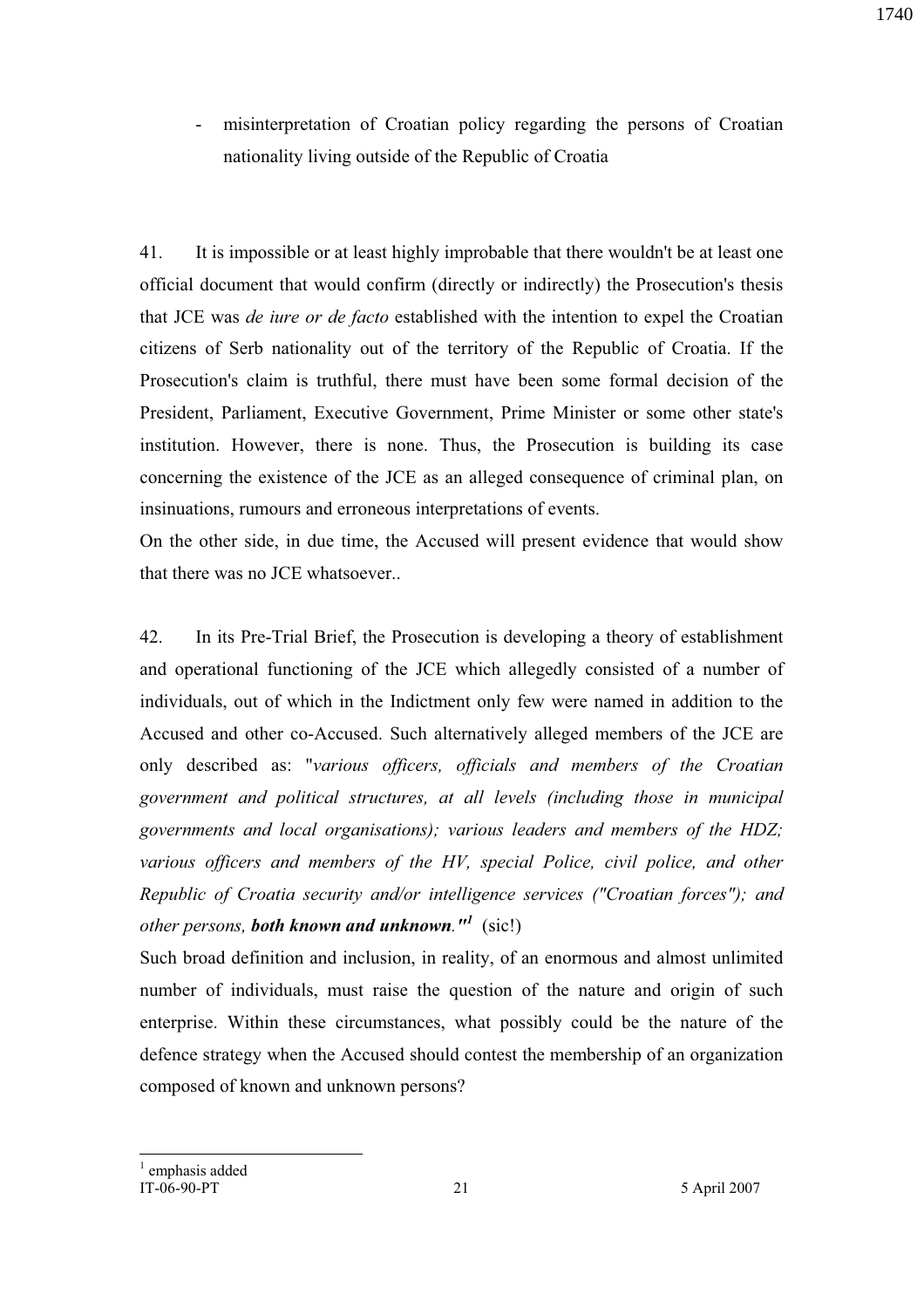misinterpretation of Croatian policy regarding the persons of Croatian nationality living outside of the Republic of Croatia

41. It is impossible or at least highly improbable that there wouldn't be at least one official document that would confirm (directly or indirectly) the Prosecution's thesis that JCE was *de iure or de facto* established with the intention to expel the Croatian citizens of Serb nationality out of the territory of the Republic of Croatia. If the Prosecution's claim is truthful, there must have been some formal decision of the President, Parliament, Executive Government, Prime Minister or some other state's institution. However, there is none. Thus, the Prosecution is building its case concerning the existence of the JCE as an alleged consequence of criminal plan, on insinuations, rumours and erroneous interpretations of events.

On the other side, in due time, the Accused will present evidence that would show that there was no JCE whatsoever..

42. In its Pre-Trial Brief, the Prosecution is developing a theory of establishment and operational functioning of the JCE which allegedly consisted of a number of individuals, out of which in the Indictment only few were named in addition to the Accused and other co-Accused. Such alternatively alleged members of the JCE are only described as: "*various officers, officials and members of the Croatian government and political structures, at all levels (including those in municipal governments and local organisations); various leaders and members of the HDZ;*  various officers and members of the HV, special Police, civil police, and other *Republic of Croatia security and/or intelligence services ("Croatian forces"); and other persons, both known and unknown.*<sup>*n*</sup> (sic!)

Such broad definition and inclusion, in reality, of an enormous and almost unlimited number of individuals, must raise the question of the nature and origin of such enterprise. Within these circumstances, what possibly could be the nature of the defence strategy when the Accused should contest the membership of an organization composed of known and unknown persons?

 $\overline{a}$ <sup>1</sup> emphasis added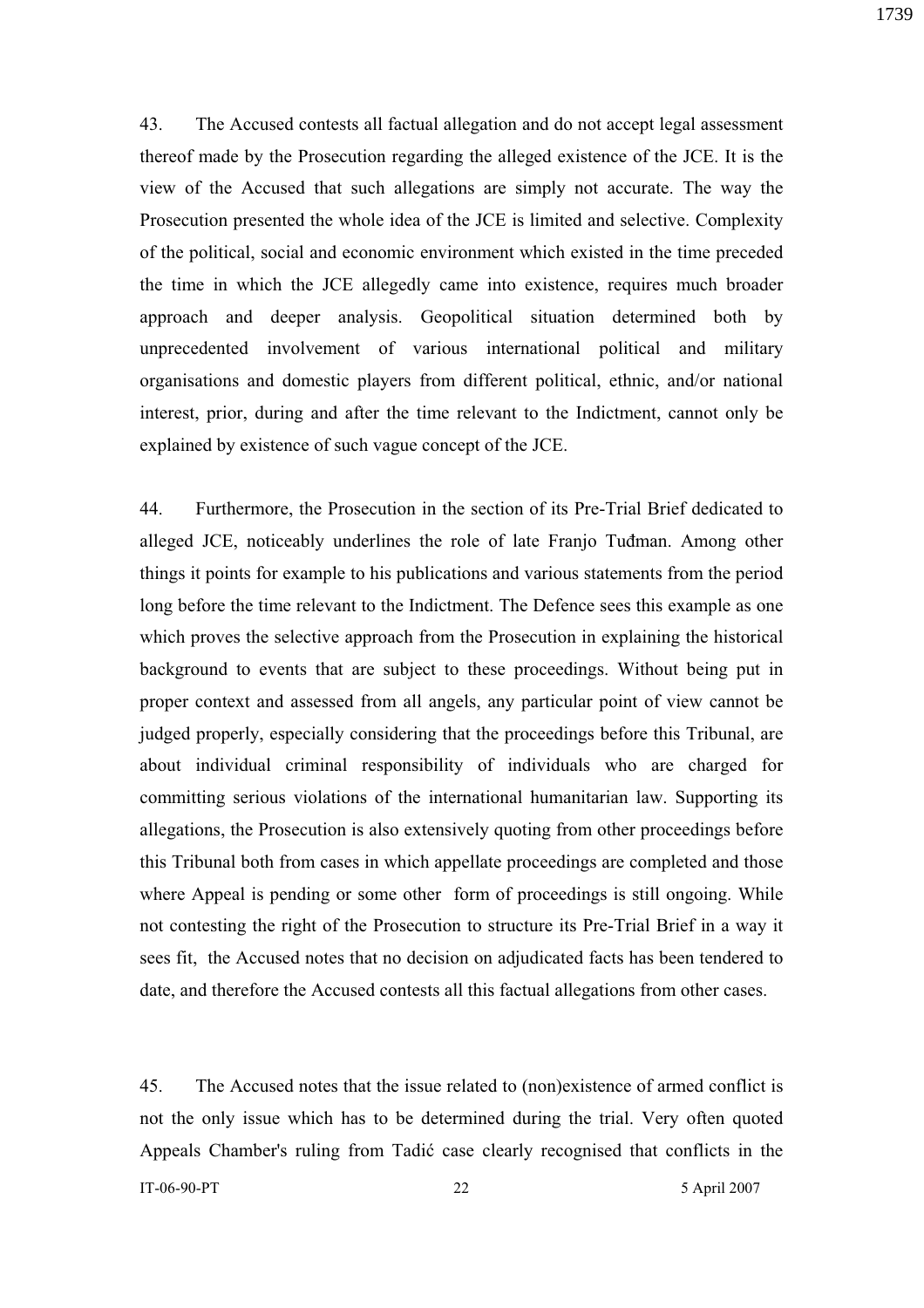43. The Accused contests all factual allegation and do not accept legal assessment thereof made by the Prosecution regarding the alleged existence of the JCE. It is the view of the Accused that such allegations are simply not accurate. The way the Prosecution presented the whole idea of the JCE is limited and selective. Complexity of the political, social and economic environment which existed in the time preceded the time in which the JCE allegedly came into existence, requires much broader approach and deeper analysis. Geopolitical situation determined both by unprecedented involvement of various international political and military organisations and domestic players from different political, ethnic, and/or national interest, prior, during and after the time relevant to the Indictment, cannot only be explained by existence of such vague concept of the JCE.

44. Furthermore, the Prosecution in the section of its Pre-Trial Brief dedicated to alleged JCE, noticeably underlines the role of late Franjo Tuđman. Among other things it points for example to his publications and various statements from the period long before the time relevant to the Indictment. The Defence sees this example as one which proves the selective approach from the Prosecution in explaining the historical background to events that are subject to these proceedings. Without being put in proper context and assessed from all angels, any particular point of view cannot be judged properly, especially considering that the proceedings before this Tribunal, are about individual criminal responsibility of individuals who are charged for committing serious violations of the international humanitarian law. Supporting its allegations, the Prosecution is also extensively quoting from other proceedings before this Tribunal both from cases in which appellate proceedings are completed and those where Appeal is pending or some other form of proceedings is still ongoing. While not contesting the right of the Prosecution to structure its Pre-Trial Brief in a way it sees fit, the Accused notes that no decision on adjudicated facts has been tendered to date, and therefore the Accused contests all this factual allegations from other cases.

45. The Accused notes that the issue related to (non)existence of armed conflict is not the only issue which has to be determined during the trial. Very often quoted Appeals Chamber's ruling from Tadić case clearly recognised that conflicts in the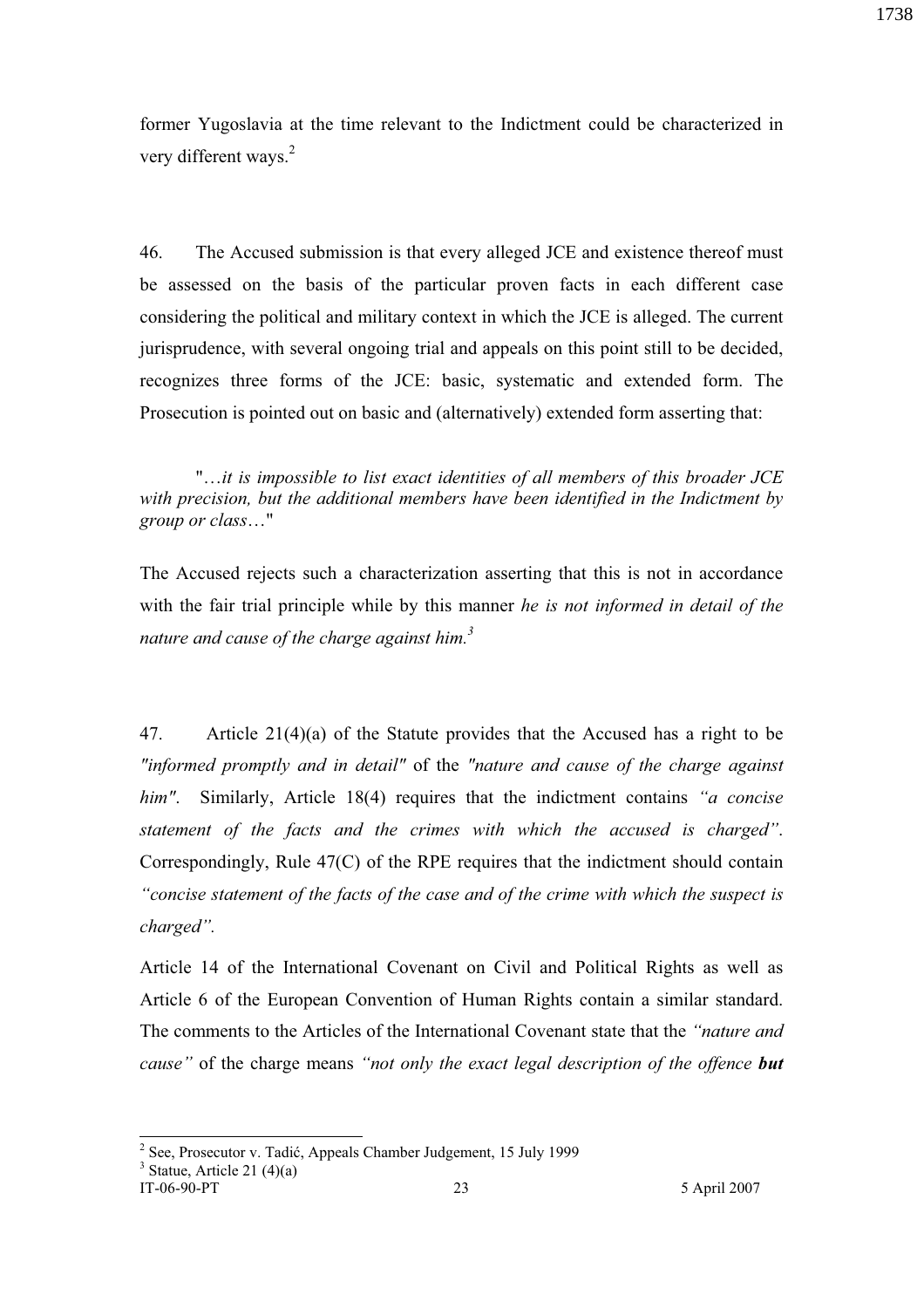former Yugoslavia at the time relevant to the Indictment could be characterized in very different ways.<sup>2</sup>

46. The Accused submission is that every alleged JCE and existence thereof must be assessed on the basis of the particular proven facts in each different case considering the political and military context in which the JCE is alleged. The current jurisprudence, with several ongoing trial and appeals on this point still to be decided, recognizes three forms of the JCE: basic, systematic and extended form. The Prosecution is pointed out on basic and (alternatively) extended form asserting that:

 "…*it is impossible to list exact identities of all members of this broader JCE with precision, but the additional members have been identified in the Indictment by group or class*…"

The Accused rejects such a characterization asserting that this is not in accordance with the fair trial principle while by this manner *he is not informed in detail of the nature and cause of the charge against him.<sup>3</sup>*

47. Article 21(4)(a) of the Statute provides that the Accused has a right to be *"informed promptly and in detail"* of the *"nature and cause of the charge against him"*. Similarly, Article 18(4) requires that the indictment contains *"a concise statement of the facts and the crimes with which the accused is charged"*. Correspondingly, Rule 47(C) of the RPE requires that the indictment should contain *"concise statement of the facts of the case and of the crime with which the suspect is charged".*

Article 14 of the International Covenant on Civil and Political Rights as well as Article 6 of the European Convention of Human Rights contain a similar standard. The comments to the Articles of the International Covenant state that the *"nature and cause"* of the charge means *"not only the exact legal description of the offence but*

 $\overline{a}$ 

1738

<sup>&</sup>lt;sup>2</sup> See, Prosecutor v. Tadić, Appeals Chamber Judgement, 15 July 1999

 $3$  Statue, Article 21 (4)(a)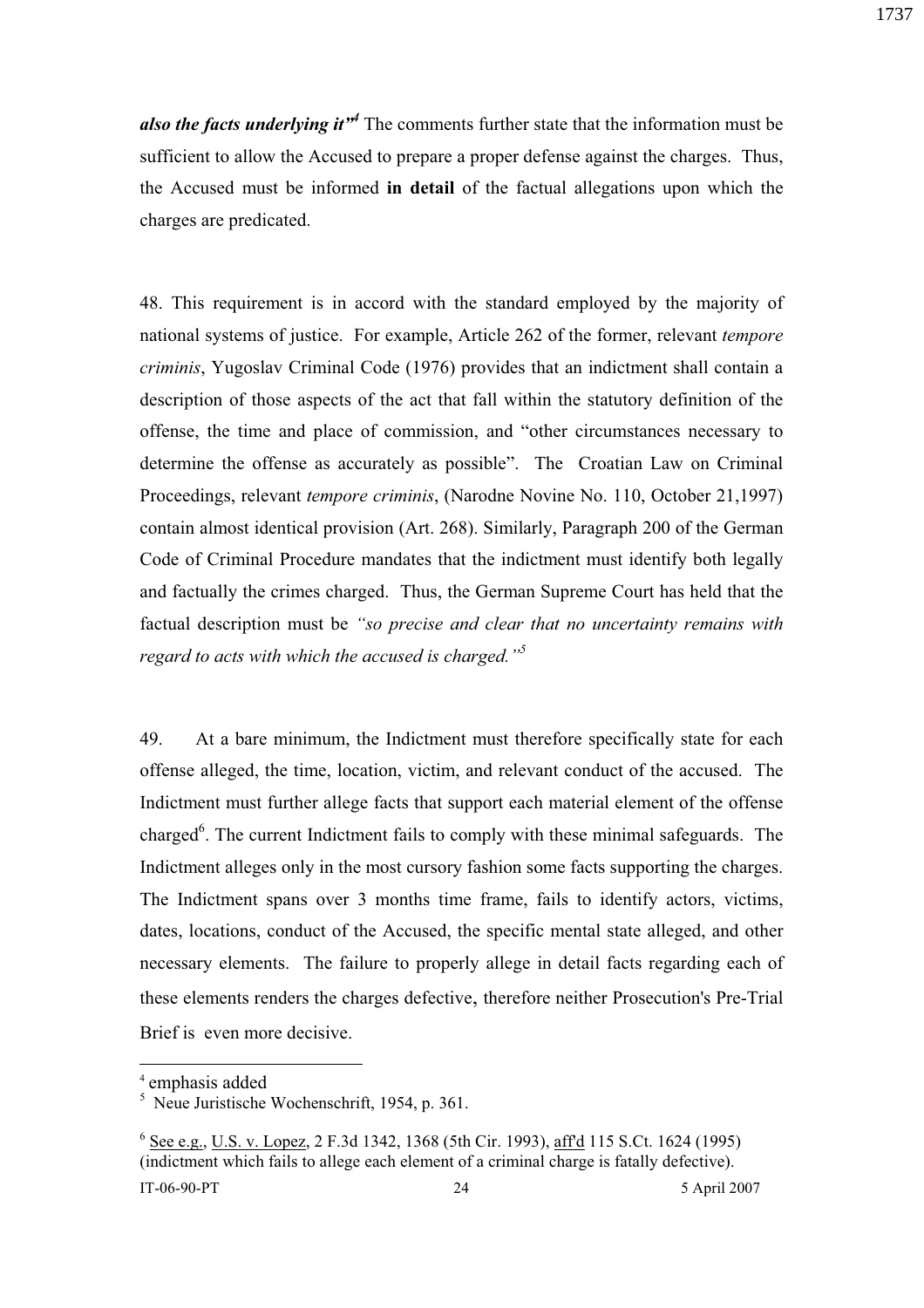*also the facts underlying it"<sup>4</sup>* The comments further state that the information must be sufficient to allow the Accused to prepare a proper defense against the charges. Thus, the Accused must be informed **in detail** of the factual allegations upon which the charges are predicated.

48. This requirement is in accord with the standard employed by the majority of national systems of justice. For example, Article 262 of the former, relevant *tempore criminis*, Yugoslav Criminal Code (1976) provides that an indictment shall contain a description of those aspects of the act that fall within the statutory definition of the offense, the time and place of commission, and "other circumstances necessary to determine the offense as accurately as possible". The Croatian Law on Criminal Proceedings, relevant *tempore criminis*, (Narodne Novine No. 110, October 21,1997) contain almost identical provision (Art. 268). Similarly, Paragraph 200 of the German Code of Criminal Procedure mandates that the indictment must identify both legally and factually the crimes charged. Thus, the German Supreme Court has held that the factual description must be *"so precise and clear that no uncertainty remains with regard to acts with which the accused is charged."<sup>5</sup>*

49. At a bare minimum, the Indictment must therefore specifically state for each offense alleged, the time, location, victim, and relevant conduct of the accused. The Indictment must further allege facts that support each material element of the offense charged<sup>6</sup>. The current Indictment fails to comply with these minimal safeguards. The Indictment alleges only in the most cursory fashion some facts supporting the charges. The Indictment spans over 3 months time frame, fails to identify actors, victims, dates, locations, conduct of the Accused, the specific mental state alleged, and other necessary elements. The failure to properly allege in detail facts regarding each of these elements renders the charges defective, therefore neither Prosecution's Pre-Trial Brief is even more decisive.

<sup>4</sup> emphasis added

<sup>5</sup> Neue Juristische Wochenschrift, 1954, p. 361.

 $6$  See e.g., U.S. v. Lopez, 2 F.3d 1342, 1368 (5th Cir. 1993), aff<sup>'d</sup> 115 S.Ct. 1624 (1995) (indictment which fails to allege each element of a criminal charge is fatally defective).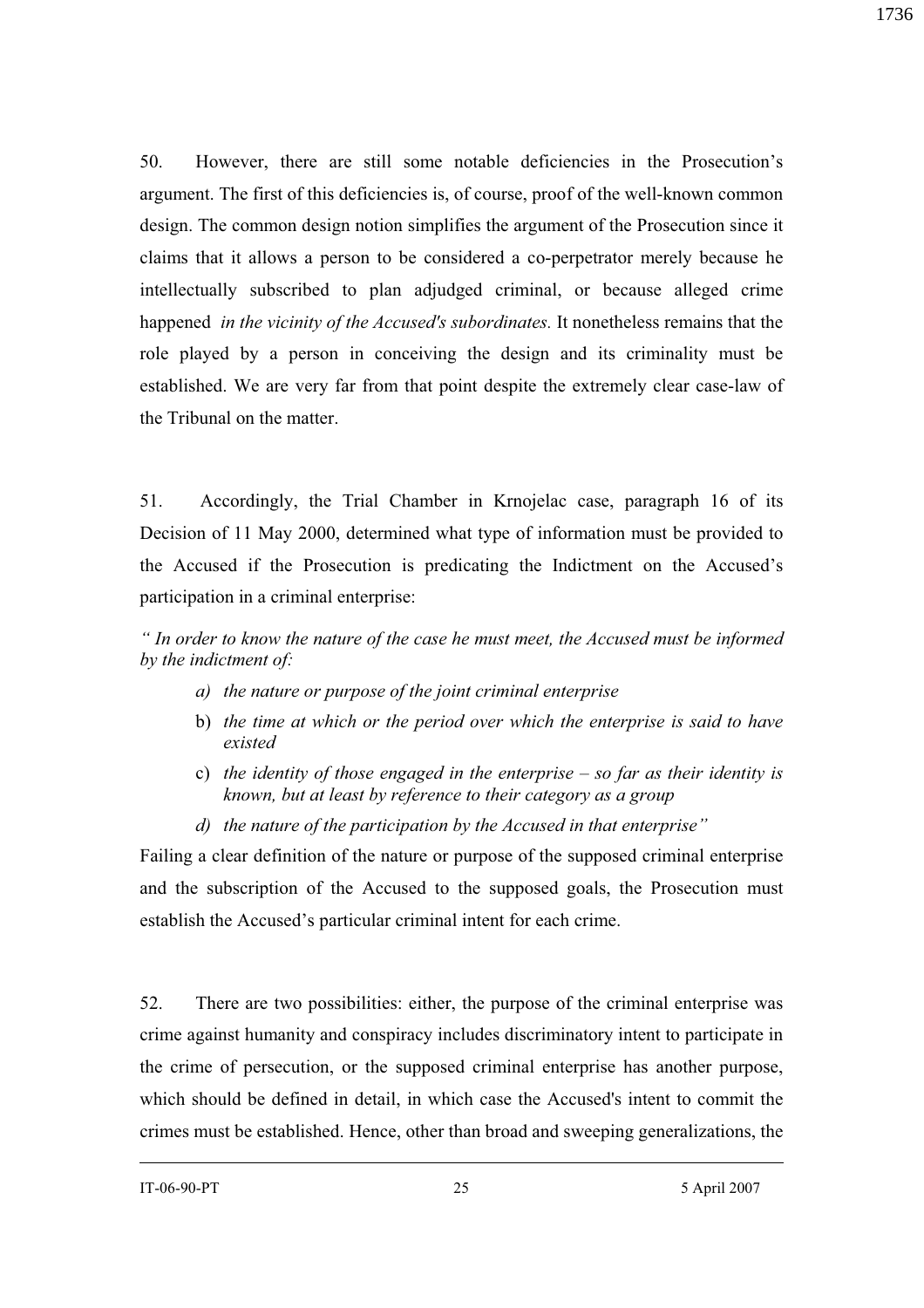50. However, there are still some notable deficiencies in the Prosecution's argument. The first of this deficiencies is, of course, proof of the well-known common design. The common design notion simplifies the argument of the Prosecution since it claims that it allows a person to be considered a co-perpetrator merely because he intellectually subscribed to plan adjudged criminal, or because alleged crime happened *in the vicinity of the Accused's subordinates.* It nonetheless remains that the role played by a person in conceiving the design and its criminality must be established. We are very far from that point despite the extremely clear case-law of the Tribunal on the matter.

51. Accordingly, the Trial Chamber in Krnojelac case, paragraph 16 of its Decision of 11 May 2000, determined what type of information must be provided to the Accused if the Prosecution is predicating the Indictment on the Accused's participation in a criminal enterprise:

*" In order to know the nature of the case he must meet, the Accused must be informed by the indictment of:* 

- *a) the nature or purpose of the joint criminal enterprise*
- b) *the time at which or the period over which the enterprise is said to have existed*
- c) *the identity of those engaged in the enterprise so far as their identity is known, but at least by reference to their category as a group*
- *d) the nature of the participation by the Accused in that enterprise"*

Failing a clear definition of the nature or purpose of the supposed criminal enterprise and the subscription of the Accused to the supposed goals, the Prosecution must establish the Accused's particular criminal intent for each crime.

52. There are two possibilities: either, the purpose of the criminal enterprise was crime against humanity and conspiracy includes discriminatory intent to participate in the crime of persecution, or the supposed criminal enterprise has another purpose, which should be defined in detail, in which case the Accused's intent to commit the crimes must be established. Hence, other than broad and sweeping generalizations, the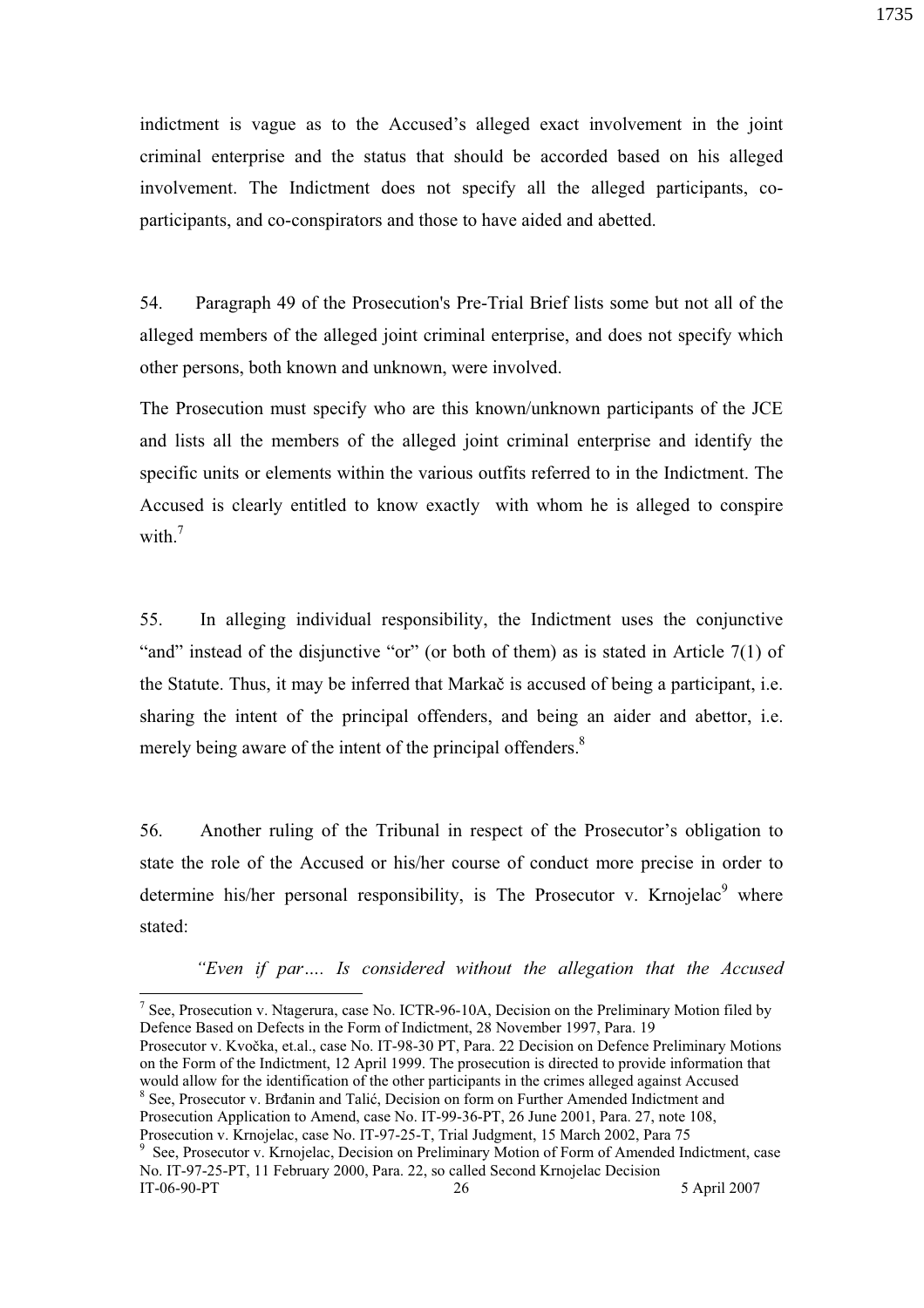indictment is vague as to the Accused's alleged exact involvement in the joint criminal enterprise and the status that should be accorded based on his alleged involvement. The Indictment does not specify all the alleged participants, coparticipants, and co-conspirators and those to have aided and abetted.

54. Paragraph 49 of the Prosecution's Pre-Trial Brief lists some but not all of the alleged members of the alleged joint criminal enterprise, and does not specify which other persons, both known and unknown, were involved.

The Prosecution must specify who are this known/unknown participants of the JCE and lists all the members of the alleged joint criminal enterprise and identify the specific units or elements within the various outfits referred to in the Indictment. The Accused is clearly entitled to know exactly with whom he is alleged to conspire with. $7$ 

55. In alleging individual responsibility, the Indictment uses the conjunctive "and" instead of the disjunctive "or" (or both of them) as is stated in Article  $7(1)$  of the Statute. Thus, it may be inferred that Markač is accused of being a participant, i.e. sharing the intent of the principal offenders, and being an aider and abettor, i.e. merely being aware of the intent of the principal offenders.<sup>8</sup>

56. Another ruling of the Tribunal in respect of the Prosecutor's obligation to state the role of the Accused or his/her course of conduct more precise in order to determine his/her personal responsibility, is The Prosecutor v. Krnojelac $^9$  where stated:

 *"Even if par…. Is considered without the allegation that the Accused* 

<sup>&</sup>lt;sup>7</sup> See, Prosecution v. Ntagerura, case No. ICTR-96-10A, Decision on the Preliminary Motion filed by Defence Based on Defects in the Form of Indictment, 28 November 1997, Para. 19 Prosecutor v. Kvočka, et.al., case No. IT-98-30 PT, Para. 22 Decision on Defence Preliminary Motions on the Form of the Indictment, 12 April 1999. The prosecution is directed to provide information that would allow for the identification of the other participants in the crimes alleged against Accused <sup>8</sup> See, Prosecutor v. Brđanin and Talić, Decision on form on Further Amended Indictment and Prosecution Application to Amend, case No. IT-99-36-PT, 26 June 2001, Para. 27, note 108,

Prosecution v. Krnojelac, case No. IT-97-25-T, Trial Judgment, 15 March 2002, Para 75 <sup>9</sup> See, Prosecutor v. Krnojelac, Decision on Preliminary Motion of Form of Amended Indictment, case

IT-06-90-PT 26 26 5 April 2007 No. IT-97-25-PT, 11 February 2000, Para. 22, so called Second Krnojelac Decision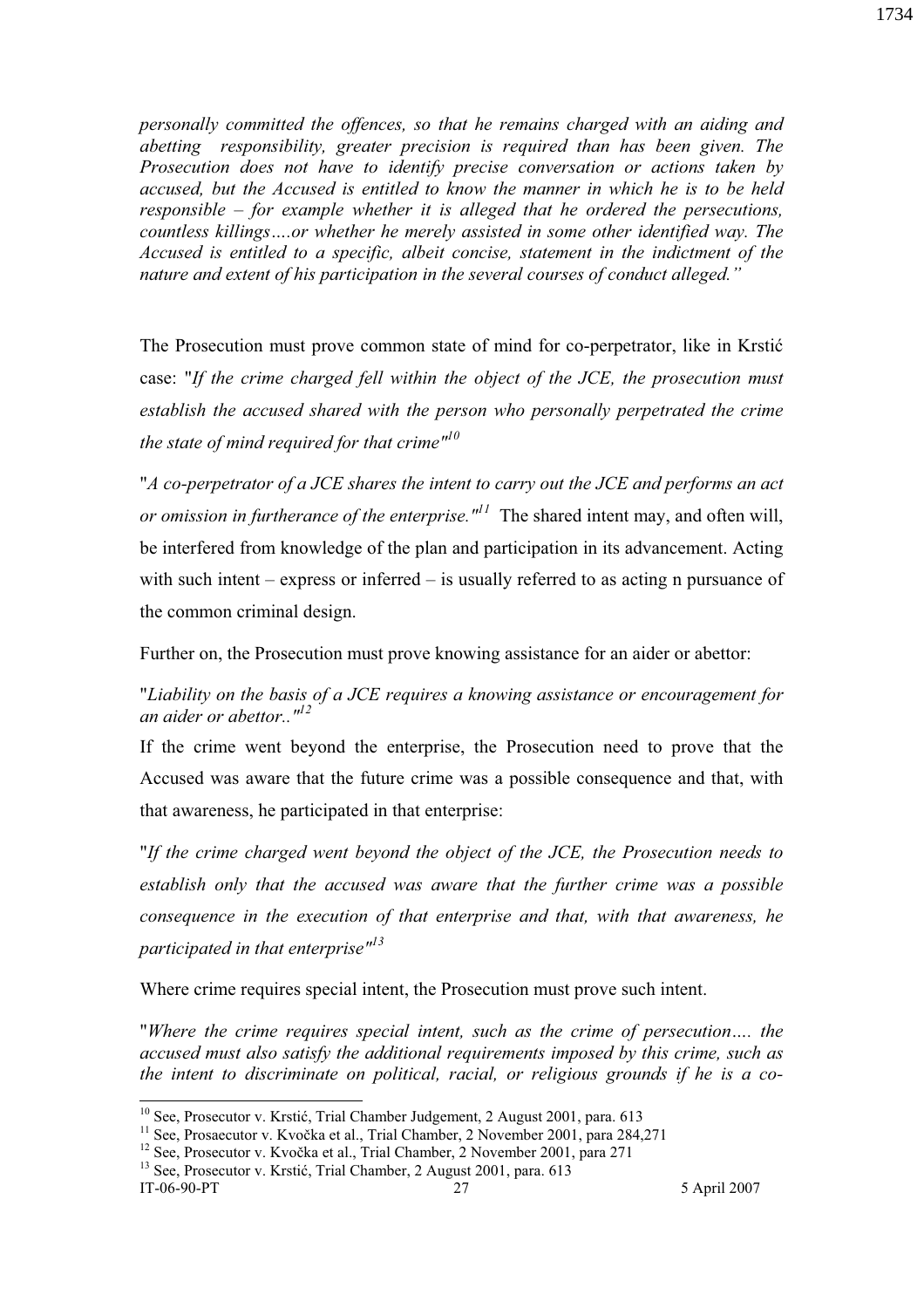*personally committed the offences, so that he remains charged with an aiding and abetting responsibility, greater precision is required than has been given. The Prosecution does not have to identify precise conversation or actions taken by accused, but the Accused is entitled to know the manner in which he is to be held responsible – for example whether it is alleged that he ordered the persecutions, countless killings….or whether he merely assisted in some other identified way. The Accused is entitled to a specific, albeit concise, statement in the indictment of the nature and extent of his participation in the several courses of conduct alleged."* 

The Prosecution must prove common state of mind for co-perpetrator, like in Krstić case: "*If the crime charged fell within the object of the JCE, the prosecution must establish the accused shared with the person who personally perpetrated the crime the state of mind required for that crime"<sup>10</sup>*

"*A co-perpetrator of a JCE shares the intent to carry out the JCE and performs an act or omission in furtherance of the enterprise."<sup>11</sup>* The shared intent may, and often will, be interfered from knowledge of the plan and participation in its advancement. Acting with such intent – express or inferred – is usually referred to as acting n pursuance of the common criminal design.

Further on, the Prosecution must prove knowing assistance for an aider or abettor:

## "*Liability on the basis of a JCE requires a knowing assistance or encouragement for an aider or abettor.."<sup>12</sup>*

If the crime went beyond the enterprise, the Prosecution need to prove that the Accused was aware that the future crime was a possible consequence and that, with that awareness, he participated in that enterprise:

"*If the crime charged went beyond the object of the JCE, the Prosecution needs to establish only that the accused was aware that the further crime was a possible consequence in the execution of that enterprise and that, with that awareness, he participated in that enterprise"<sup>13</sup>*

Where crime requires special intent, the Prosecution must prove such intent.

"*Where the crime requires special intent, such as the crime of persecution…. the accused must also satisfy the additional requirements imposed by this crime, such as the intent to discriminate on political, racial, or religious grounds if he is a co-*

 $\overline{a}$ 

1734

<sup>&</sup>lt;sup>10</sup> See, Prosecutor v. Krstić, Trial Chamber Judgement, 2 August 2001, para. 613

<sup>&</sup>lt;sup>11</sup> See, Prosaecutor v. Kvočka et al., Trial Chamber, 2 November 2001, para 284,271

<sup>&</sup>lt;sup>12</sup> See, Prosecutor v. Kvočka et al., Trial Chamber, 2 November 2001, para 271

 $13$  See, Prosecutor v. Krstić, Trial Chamber, 2 August 2001, para. 613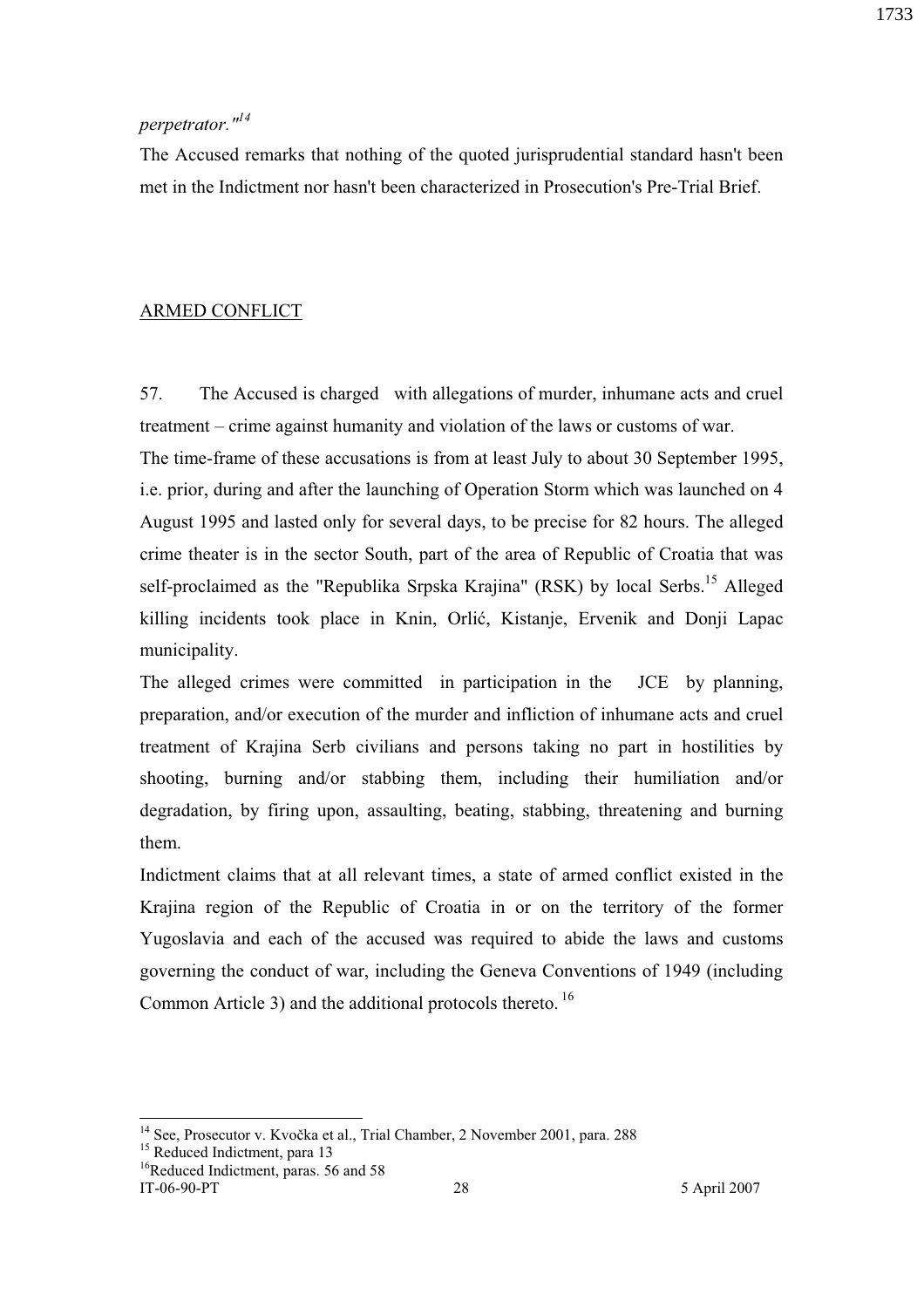#### 1733

## *perpetrator."<sup>14</sup>*

The Accused remarks that nothing of the quoted jurisprudential standard hasn't been met in the Indictment nor hasn't been characterized in Prosecution's Pre-Trial Brief.

## ARMED CONFLICT

57. The Accused is charged with allegations of murder, inhumane acts and cruel treatment – crime against humanity and violation of the laws or customs of war. The time-frame of these accusations is from at least July to about 30 September 1995, i.e. prior, during and after the launching of Operation Storm which was launched on 4 August 1995 and lasted only for several days, to be precise for 82 hours. The alleged crime theater is in the sector South, part of the area of Republic of Croatia that was self-proclaimed as the "Republika Srpska Krajina" (RSK) by local Serbs.<sup>15</sup> Alleged killing incidents took place in Knin, Orlić, Kistanje, Ervenik and Donji Lapac municipality.

The alleged crimes were committed in participation in the JCE by planning, preparation, and/or execution of the murder and infliction of inhumane acts and cruel treatment of Krajina Serb civilians and persons taking no part in hostilities by shooting, burning and/or stabbing them, including their humiliation and/or degradation, by firing upon, assaulting, beating, stabbing, threatening and burning them.

Indictment claims that at all relevant times, a state of armed conflict existed in the Krajina region of the Republic of Croatia in or on the territory of the former Yugoslavia and each of the accused was required to abide the laws and customs governing the conduct of war, including the Geneva Conventions of 1949 (including Common Article 3) and the additional protocols thereto.<sup>16</sup>

<sup>&</sup>lt;sup>14</sup> See, Prosecutor v. Kvočka et al., Trial Chamber, 2 November 2001, para. 288

<sup>&</sup>lt;sup>15</sup> Reduced Indictment, para 13

<sup>&</sup>lt;sup>16</sup>Reduced Indictment, paras. 56 and 58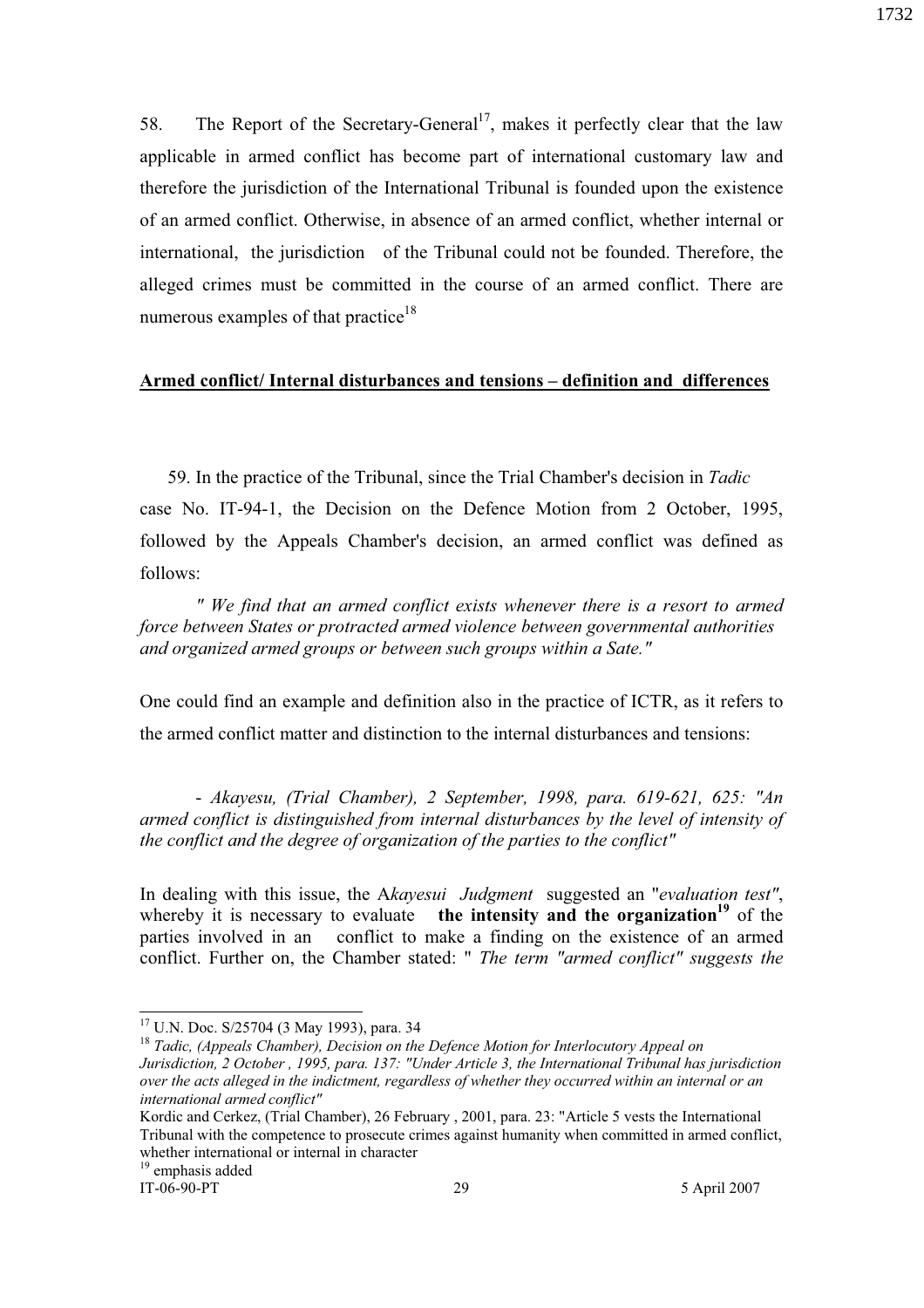58. The Report of the Secretary-General<sup>17</sup>, makes it perfectly clear that the law applicable in armed conflict has become part of international customary law and therefore the jurisdiction of the International Tribunal is founded upon the existence of an armed conflict. Otherwise, in absence of an armed conflict, whether internal or international, the jurisdiction of the Tribunal could not be founded. Therefore, the alleged crimes must be committed in the course of an armed conflict. There are numerous examples of that practice<sup>18</sup>

#### **Armed conflict/ Internal disturbances and tensions – definition and differences**

59. In the practice of the Tribunal, since the Trial Chamber's decision in *Tadic* case No. IT-94-1, the Decision on the Defence Motion from 2 October, 1995, followed by the Appeals Chamber's decision, an armed conflict was defined as follows:

*" We find that an armed conflict exists whenever there is a resort to armed force between States or protracted armed violence between governmental authorities and organized armed groups or between such groups within a Sate."* 

One could find an example and definition also in the practice of ICTR, as it refers to the armed conflict matter and distinction to the internal disturbances and tensions:

 - *Akayesu, (Trial Chamber), 2 September, 1998, para. 619-621, 625: "An armed conflict is distinguished from internal disturbances by the level of intensity of the conflict and the degree of organization of the parties to the conflict"*

In dealing with this issue, the A*kayesui Judgment* suggested an "*evaluation test"*, whereby it is necessary to evaluate **the intensity and the organization**<sup>19</sup> of the parties involved in an conflict to make a finding on the existence of an armed conflict. Further on, the Chamber stated: " *The term "armed conflict" suggests the* 

 $\overline{a}$ 

1732

<sup>17</sup> U.N. Doc. S/25704 (3 May 1993), para. 34

<sup>&</sup>lt;sup>18</sup> Tadic, (Appeals Chamber), Decision on the Defence Motion for Interlocutory Appeal on *Jurisdiction, 2 October , 1995, para. 137: "Under Article 3, the International Tribunal has jurisdiction over the acts alleged in the indictment, regardless of whether they occurred within an internal or an international armed conflict"* 

Kordic and Cerkez, (Trial Chamber), 26 February , 2001, para. 23: "Article 5 vests the International Tribunal with the competence to prosecute crimes against humanity when committed in armed conflict, whether international or internal in character <sup>19</sup> emphasis added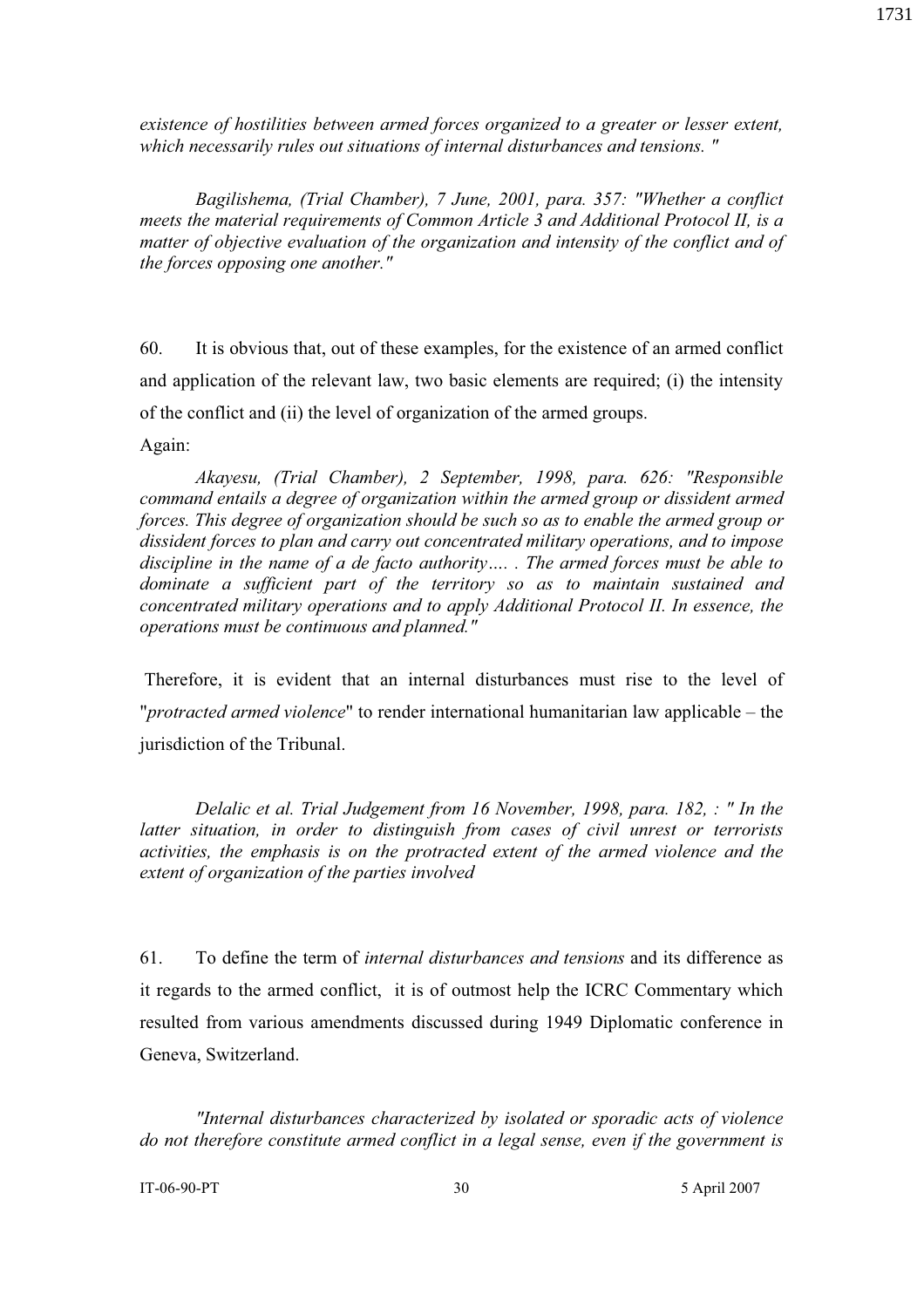*existence of hostilities between armed forces organized to a greater or lesser extent, which necessarily rules out situations of internal disturbances and tensions. "* 

*Bagilishema, (Trial Chamber), 7 June, 2001, para. 357: "Whether a conflict meets the material requirements of Common Article 3 and Additional Protocol II, is a matter of objective evaluation of the organization and intensity of the conflict and of the forces opposing one another."* 

60. It is obvious that, out of these examples, for the existence of an armed conflict and application of the relevant law, two basic elements are required; (i) the intensity of the conflict and (ii) the level of organization of the armed groups.

Again:

*Akayesu, (Trial Chamber), 2 September, 1998, para. 626: "Responsible command entails a degree of organization within the armed group or dissident armed forces. This degree of organization should be such so as to enable the armed group or dissident forces to plan and carry out concentrated military operations, and to impose discipline in the name of a de facto authority…. . The armed forces must be able to dominate a sufficient part of the territory so as to maintain sustained and concentrated military operations and to apply Additional Protocol II. In essence, the operations must be continuous and planned."* 

 Therefore, it is evident that an internal disturbances must rise to the level of "*protracted armed violence*" to render international humanitarian law applicable – the jurisdiction of the Tribunal.

*Delalic et al. Trial Judgement from 16 November, 1998, para. 182, : " In the latter situation, in order to distinguish from cases of civil unrest or terrorists activities, the emphasis is on the protracted extent of the armed violence and the extent of organization of the parties involved* 

61. To define the term of *internal disturbances and tensions* and its difference as it regards to the armed conflict, it is of outmost help the ICRC Commentary which resulted from various amendments discussed during 1949 Diplomatic conference in Geneva, Switzerland.

*"Internal disturbances characterized by isolated or sporadic acts of violence do not therefore constitute armed conflict in a legal sense, even if the government is* 

1731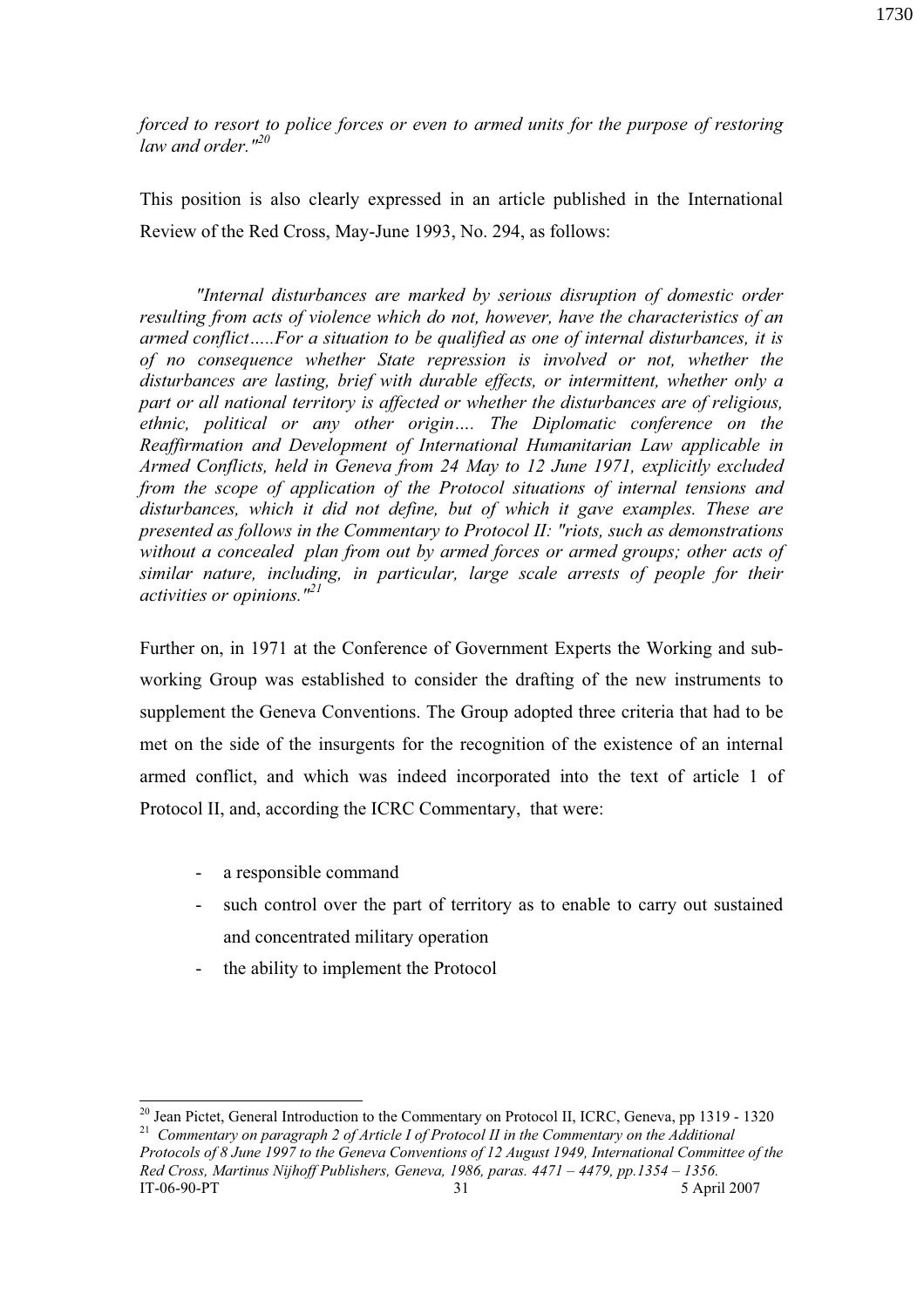*forced to resort to police forces or even to armed units for the purpose of restoring law and order."<sup>20</sup>*

This position is also clearly expressed in an article published in the International Review of the Red Cross, May-June 1993, No. 294, as follows:

*"Internal disturbances are marked by serious disruption of domestic order resulting from acts of violence which do not, however, have the characteristics of an armed conflict…..For a situation to be qualified as one of internal disturbances, it is of no consequence whether State repression is involved or not, whether the disturbances are lasting, brief with durable effects, or intermittent, whether only a part or all national territory is affected or whether the disturbances are of religious, ethnic, political or any other origin…. The Diplomatic conference on the Reaffirmation and Development of International Humanitarian Law applicable in Armed Conflicts, held in Geneva from 24 May to 12 June 1971, explicitly excluded from the scope of application of the Protocol situations of internal tensions and disturbances, which it did not define, but of which it gave examples. These are presented as follows in the Commentary to Protocol II: "riots, such as demonstrations without a concealed plan from out by armed forces or armed groups; other acts of similar nature, including, in particular, large scale arrests of people for their activities or opinions."<sup>21</sup>*

Further on, in 1971 at the Conference of Government Experts the Working and subworking Group was established to consider the drafting of the new instruments to supplement the Geneva Conventions. The Group adopted three criteria that had to be met on the side of the insurgents for the recognition of the existence of an internal armed conflict, and which was indeed incorporated into the text of article 1 of Protocol II, and, according the ICRC Commentary, that were:

a responsible command

 $\overline{a}$ 

- such control over the part of territory as to enable to carry out sustained and concentrated military operation
- the ability to implement the Protocol

IT-06-90-PT 31 5 April 2007 <sup>21</sup> *Commentary on paragraph 2 of Article I of Protocol II in the Commentary on the Additional Protocols of 8 June 1997 to the Geneva Conventions of 12 August 1949, International Committee of the Red Cross, Martinus Nijhoff Publishers, Geneva, 1986, paras. 4471 – 4479, pp.1354 – 1356.*

 $20$  Jean Pictet, General Introduction to the Commentary on Protocol II, ICRC, Geneva, pp 1319 - 1320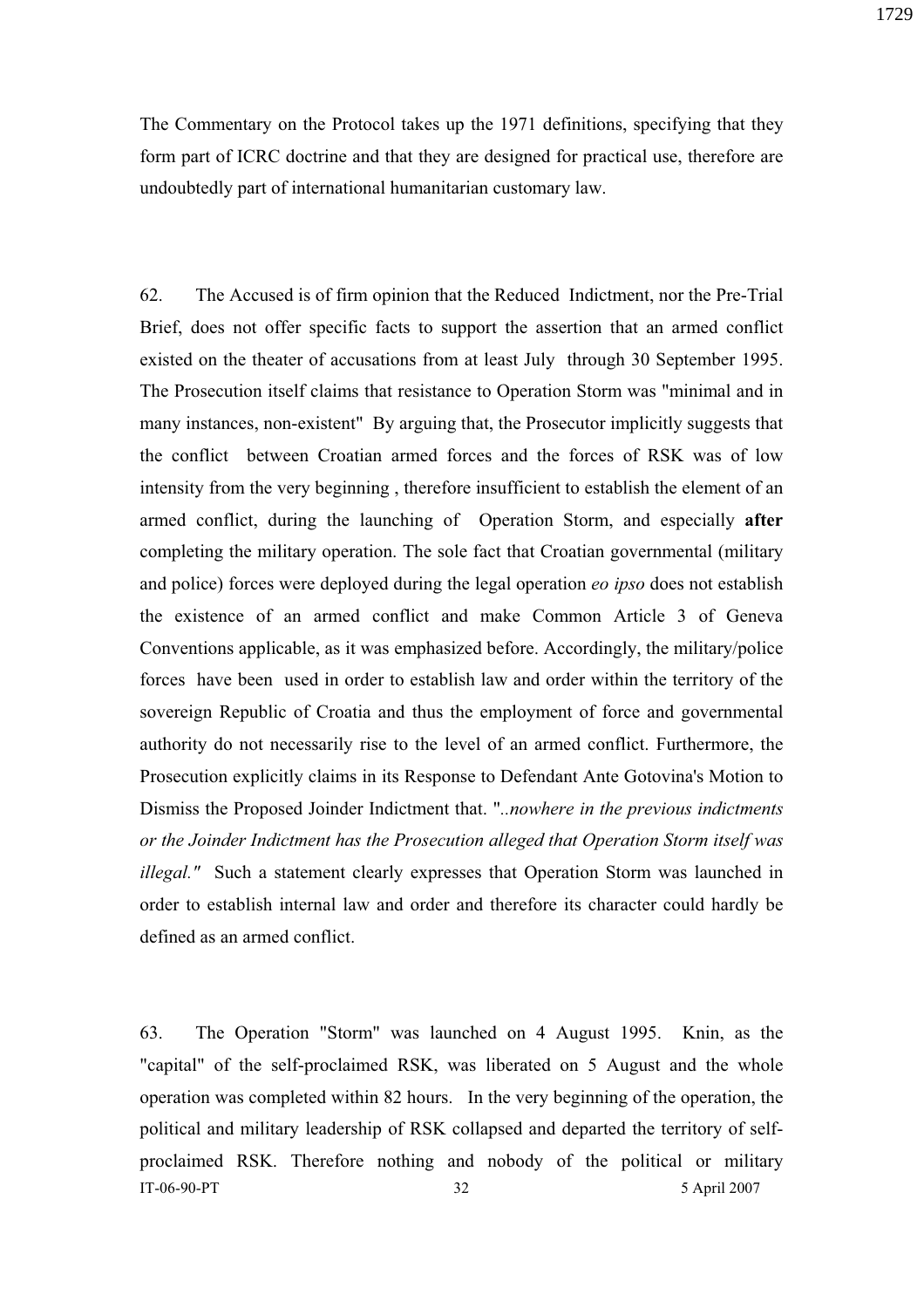The Commentary on the Protocol takes up the 1971 definitions, specifying that they form part of ICRC doctrine and that they are designed for practical use, therefore are undoubtedly part of international humanitarian customary law.

62. The Accused is of firm opinion that the Reduced Indictment, nor the Pre-Trial Brief, does not offer specific facts to support the assertion that an armed conflict existed on the theater of accusations from at least July through 30 September 1995. The Prosecution itself claims that resistance to Operation Storm was "minimal and in many instances, non-existent" By arguing that, the Prosecutor implicitly suggests that the conflict between Croatian armed forces and the forces of RSK was of low intensity from the very beginning , therefore insufficient to establish the element of an armed conflict, during the launching of Operation Storm, and especially **after** completing the military operation. The sole fact that Croatian governmental (military and police) forces were deployed during the legal operation *eo ipso* does not establish the existence of an armed conflict and make Common Article 3 of Geneva Conventions applicable, as it was emphasized before. Accordingly, the military/police forces have been used in order to establish law and order within the territory of the sovereign Republic of Croatia and thus the employment of force and governmental authority do not necessarily rise to the level of an armed conflict. Furthermore, the Prosecution explicitly claims in its Response to Defendant Ante Gotovina's Motion to Dismiss the Proposed Joinder Indictment that. "*..nowhere in the previous indictments or the Joinder Indictment has the Prosecution alleged that Operation Storm itself was illegal."* Such a statement clearly expresses that Operation Storm was launched in order to establish internal law and order and therefore its character could hardly be defined as an armed conflict.

IT-06-90-PT 32 5 April 2007 63. The Operation "Storm" was launched on 4 August 1995. Knin, as the "capital" of the self-proclaimed RSK, was liberated on 5 August and the whole operation was completed within 82 hours. In the very beginning of the operation, the political and military leadership of RSK collapsed and departed the territory of selfproclaimed RSK. Therefore nothing and nobody of the political or military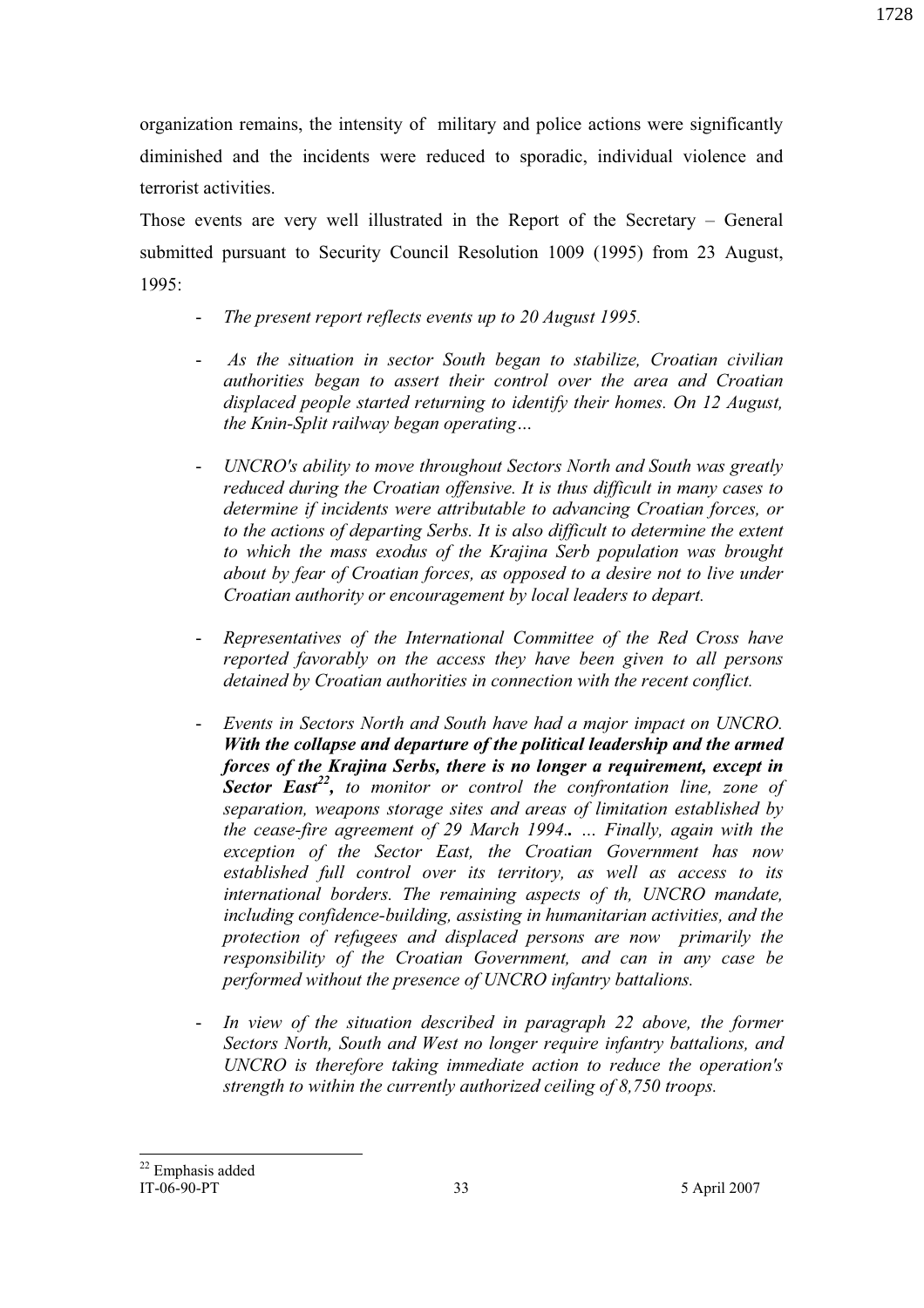organization remains, the intensity of military and police actions were significantly diminished and the incidents were reduced to sporadic, individual violence and terrorist activities.

Those events are very well illustrated in the Report of the Secretary – General submitted pursuant to Security Council Resolution 1009 (1995) from 23 August, 1995:

- *The present report reflects events up to 20 August 1995.*
- - *As the situation in sector South began to stabilize, Croatian civilian authorities began to assert their control over the area and Croatian displaced people started returning to identify their homes. On 12 August, the Knin-Split railway began operating…*
- *UNCRO's ability to move throughout Sectors North and South was greatly reduced during the Croatian offensive. It is thus difficult in many cases to determine if incidents were attributable to advancing Croatian forces, or to the actions of departing Serbs. It is also difficult to determine the extent to which the mass exodus of the Krajina Serb population was brought about by fear of Croatian forces, as opposed to a desire not to live under Croatian authority or encouragement by local leaders to depart.*
- *Representatives of the International Committee of the Red Cross have reported favorably on the access they have been given to all persons detained by Croatian authorities in connection with the recent conflict.*
- *Events in Sectors North and South have had a major impact on UNCRO. With the collapse and departure of the political leadership and the armed forces of the Krajina Serbs, there is no longer a requirement, except in Sector East<sup>22</sup> , to monitor or control the confrontation line, zone of separation, weapons storage sites and areas of limitation established by the cease-fire agreement of 29 March 1994.. … Finally, again with the exception of the Sector East, the Croatian Government has now established full control over its territory, as well as access to its international borders. The remaining aspects of th, UNCRO mandate, including confidence-building, assisting in humanitarian activities, and the protection of refugees and displaced persons are now primarily the responsibility of the Croatian Government, and can in any case be performed without the presence of UNCRO infantry battalions.*
- In view of the situation described in paragraph 22 above, the former *Sectors North, South and West no longer require infantry battalions, and UNCRO is therefore taking immediate action to reduce the operation's strength to within the currently authorized ceiling of 8,750 troops.*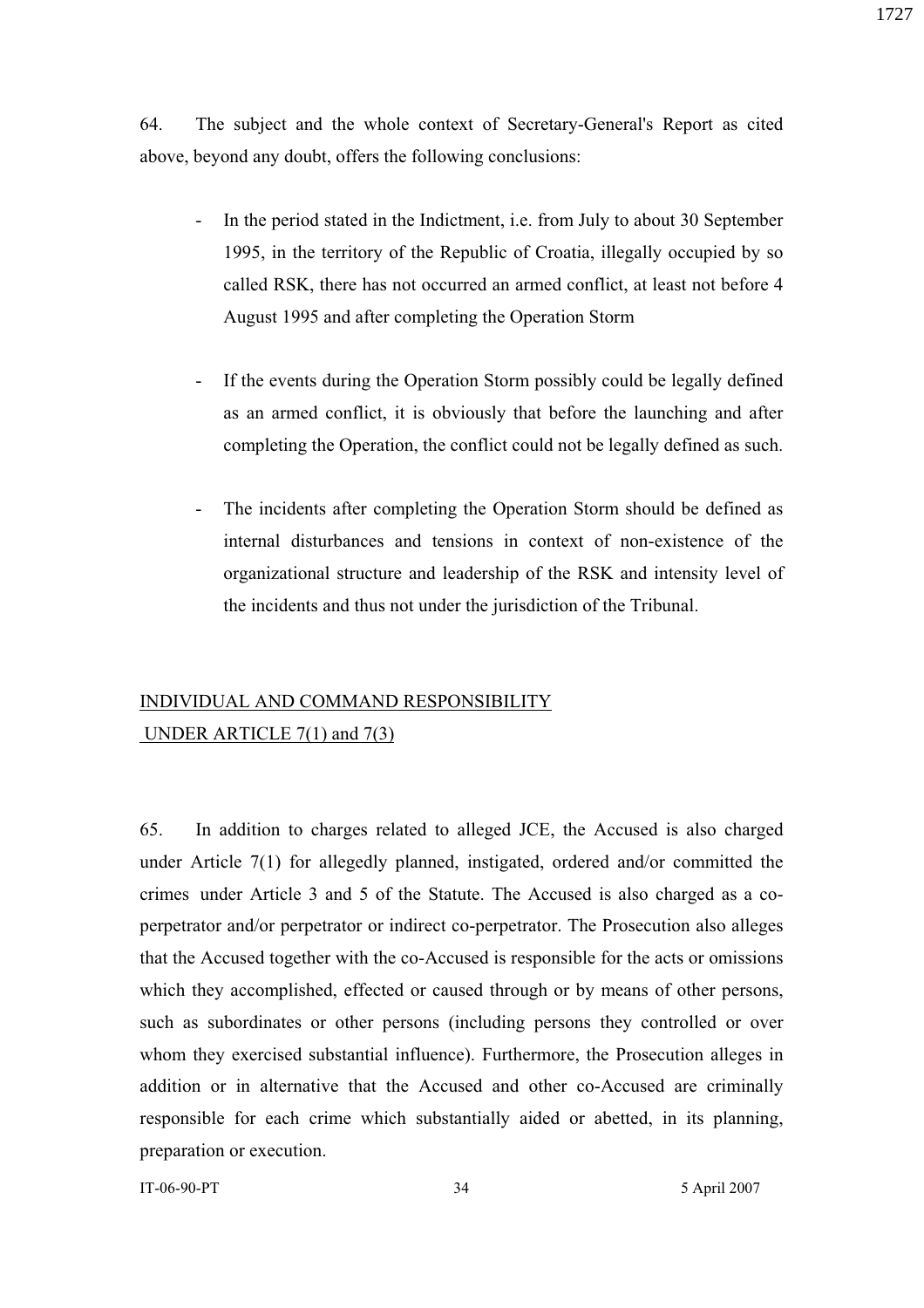64. The subject and the whole context of Secretary-General's Report as cited above, beyond any doubt, offers the following conclusions:

- In the period stated in the Indictment, i.e. from July to about 30 September 1995, in the territory of the Republic of Croatia, illegally occupied by so called RSK, there has not occurred an armed conflict, at least not before 4 August 1995 and after completing the Operation Storm
- If the events during the Operation Storm possibly could be legally defined as an armed conflict, it is obviously that before the launching and after completing the Operation, the conflict could not be legally defined as such.
- The incidents after completing the Operation Storm should be defined as internal disturbances and tensions in context of non-existence of the organizational structure and leadership of the RSK and intensity level of the incidents and thus not under the jurisdiction of the Tribunal.

# INDIVIDUAL AND COMMAND RESPONSIBILITY UNDER ARTICLE 7(1) and 7(3)

65. In addition to charges related to alleged JCE, the Accused is also charged under Article 7(1) for allegedly planned, instigated, ordered and/or committed the crimes under Article 3 and 5 of the Statute. The Accused is also charged as a coperpetrator and/or perpetrator or indirect co-perpetrator. The Prosecution also alleges that the Accused together with the co-Accused is responsible for the acts or omissions which they accomplished, effected or caused through or by means of other persons, such as subordinates or other persons (including persons they controlled or over whom they exercised substantial influence). Furthermore, the Prosecution alleges in addition or in alternative that the Accused and other co-Accused are criminally responsible for each crime which substantially aided or abetted, in its planning, preparation or execution.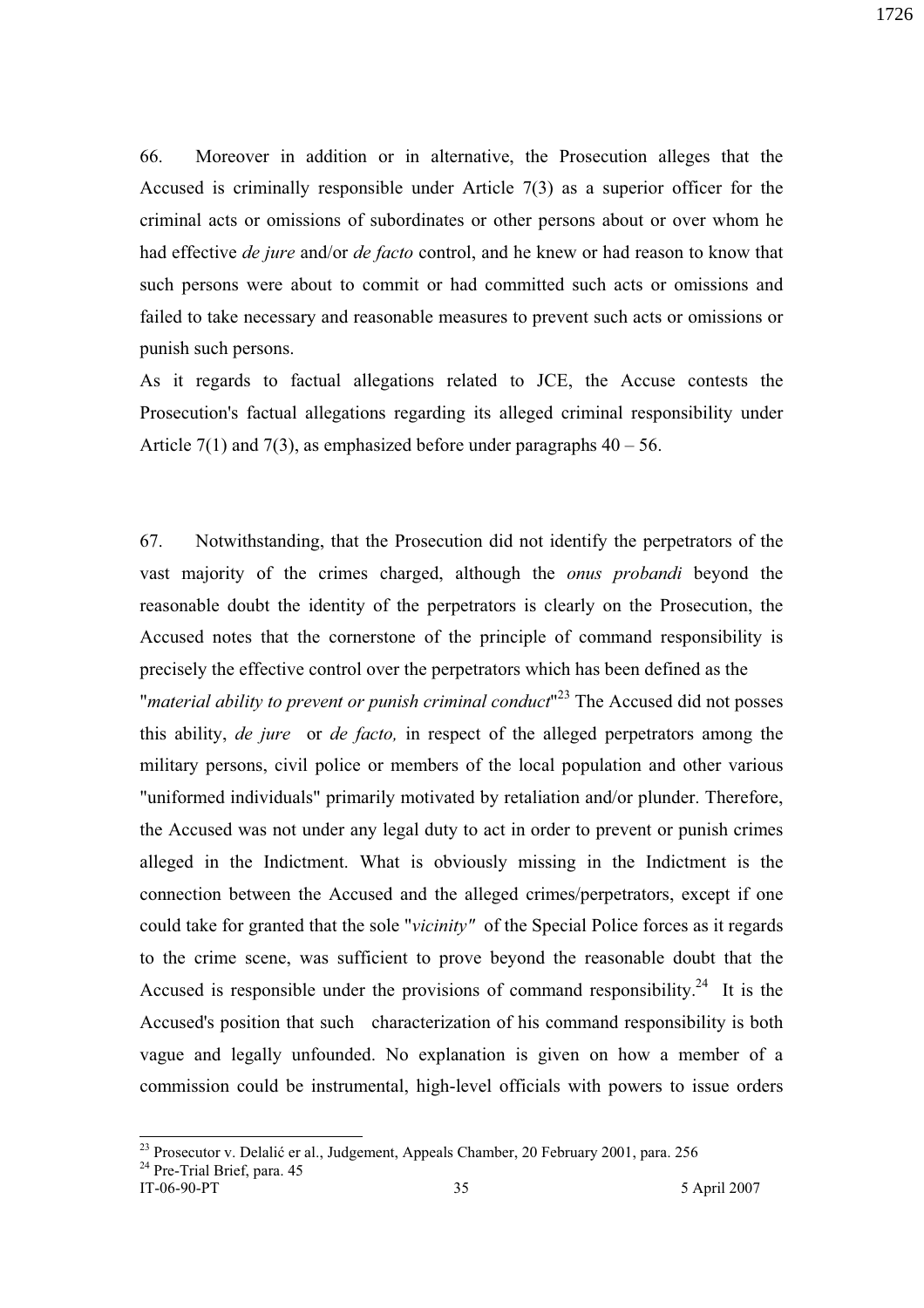66. Moreover in addition or in alternative, the Prosecution alleges that the Accused is criminally responsible under Article 7(3) as a superior officer for the criminal acts or omissions of subordinates or other persons about or over whom he had effective *de jure* and/or *de facto* control, and he knew or had reason to know that such persons were about to commit or had committed such acts or omissions and failed to take necessary and reasonable measures to prevent such acts or omissions or punish such persons.

As it regards to factual allegations related to JCE, the Accuse contests the Prosecution's factual allegations regarding its alleged criminal responsibility under Article 7(1) and 7(3), as emphasized before under paragraphs  $40 - 56$ .

67. Notwithstanding, that the Prosecution did not identify the perpetrators of the vast majority of the crimes charged, although the *onus probandi* beyond the reasonable doubt the identity of the perpetrators is clearly on the Prosecution, the Accused notes that the cornerstone of the principle of command responsibility is precisely the effective control over the perpetrators which has been defined as the "*material ability to prevent or punish criminal conduct*" <sup>23</sup> The Accused did not posses this ability, *de jure* or *de facto,* in respect of the alleged perpetrators among the military persons, civil police or members of the local population and other various "uniformed individuals" primarily motivated by retaliation and/or plunder. Therefore, the Accused was not under any legal duty to act in order to prevent or punish crimes alleged in the Indictment. What is obviously missing in the Indictment is the connection between the Accused and the alleged crimes/perpetrators, except if one could take for granted that the sole "*vicinity"* of the Special Police forces as it regards to the crime scene, was sufficient to prove beyond the reasonable doubt that the Accused is responsible under the provisions of command responsibility.<sup>24</sup> It is the Accused's position that such characterization of his command responsibility is both vague and legally unfounded. No explanation is given on how a member of a commission could be instrumental, high-level officials with powers to issue orders

<sup>&</sup>lt;sup>23</sup> Prosecutor v. Delalić er al., Judgement, Appeals Chamber, 20 February 2001, para. 256 <sup>24</sup> Pre-Trial Brief, para. 45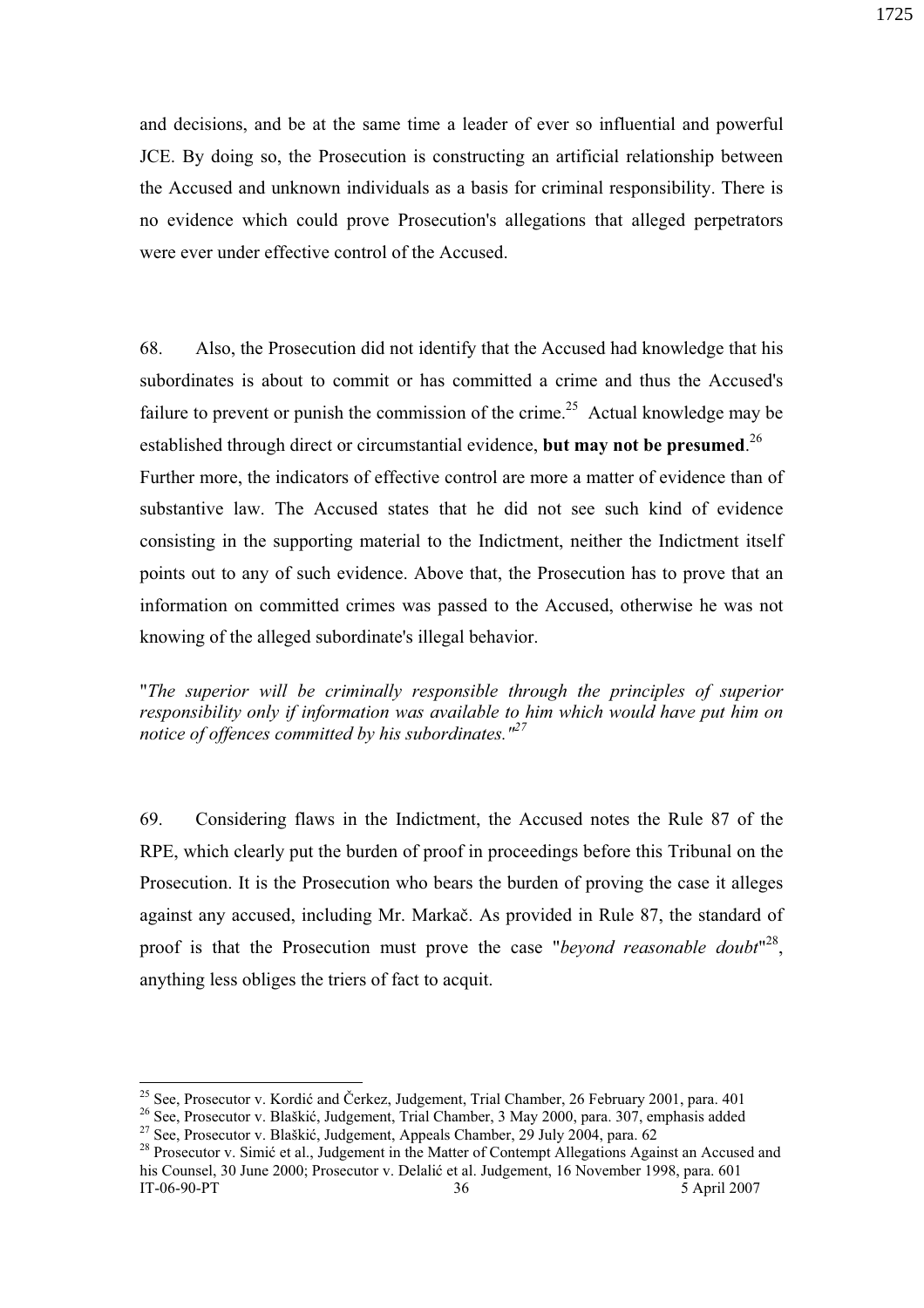and decisions, and be at the same time a leader of ever so influential and powerful JCE. By doing so, the Prosecution is constructing an artificial relationship between the Accused and unknown individuals as a basis for criminal responsibility. There is no evidence which could prove Prosecution's allegations that alleged perpetrators were ever under effective control of the Accused.

68. Also, the Prosecution did not identify that the Accused had knowledge that his subordinates is about to commit or has committed a crime and thus the Accused's failure to prevent or punish the commission of the crime.<sup>25</sup> Actual knowledge may be established through direct or circumstantial evidence, **but may not be presumed**. 26 Further more, the indicators of effective control are more a matter of evidence than of substantive law. The Accused states that he did not see such kind of evidence consisting in the supporting material to the Indictment, neither the Indictment itself points out to any of such evidence. Above that, the Prosecution has to prove that an information on committed crimes was passed to the Accused, otherwise he was not knowing of the alleged subordinate's illegal behavior.

"*The superior will be criminally responsible through the principles of superior responsibility only if information was available to him which would have put him on notice of offences committed by his subordinates."<sup>27</sup>*

69. Considering flaws in the Indictment, the Accused notes the Rule 87 of the RPE, which clearly put the burden of proof in proceedings before this Tribunal on the Prosecution. It is the Prosecution who bears the burden of proving the case it alleges against any accused, including Mr. Markač. As provided in Rule 87, the standard of proof is that the Prosecution must prove the case "*beyond reasonable doubt*"<sup>28</sup>, anything less obliges the triers of fact to acquit.

<sup>&</sup>lt;sup>25</sup> See, Prosecutor v. Kordić and Čerkez, Judgement, Trial Chamber, 26 February 2001, para. 401

<sup>&</sup>lt;sup>26</sup> See, Prosecutor v. Blaškić, Judgement, Trial Chamber, 3 May 2000, para. 307, emphasis added

<sup>&</sup>lt;sup>27</sup> See, Prosecutor v. Blaškić, Judgement, Appeals Chamber, 29 July 2004, para. 62

 $IT-06-90-PT$   $36$   $5$  April 2007 <sup>28</sup> Prosecutor v. Simić et al., Judgement in the Matter of Contempt Allegations Against an Accused and his Counsel, 30 June 2000; Prosecutor v. Delalić et al. Judgement, 16 November 1998, para. 601